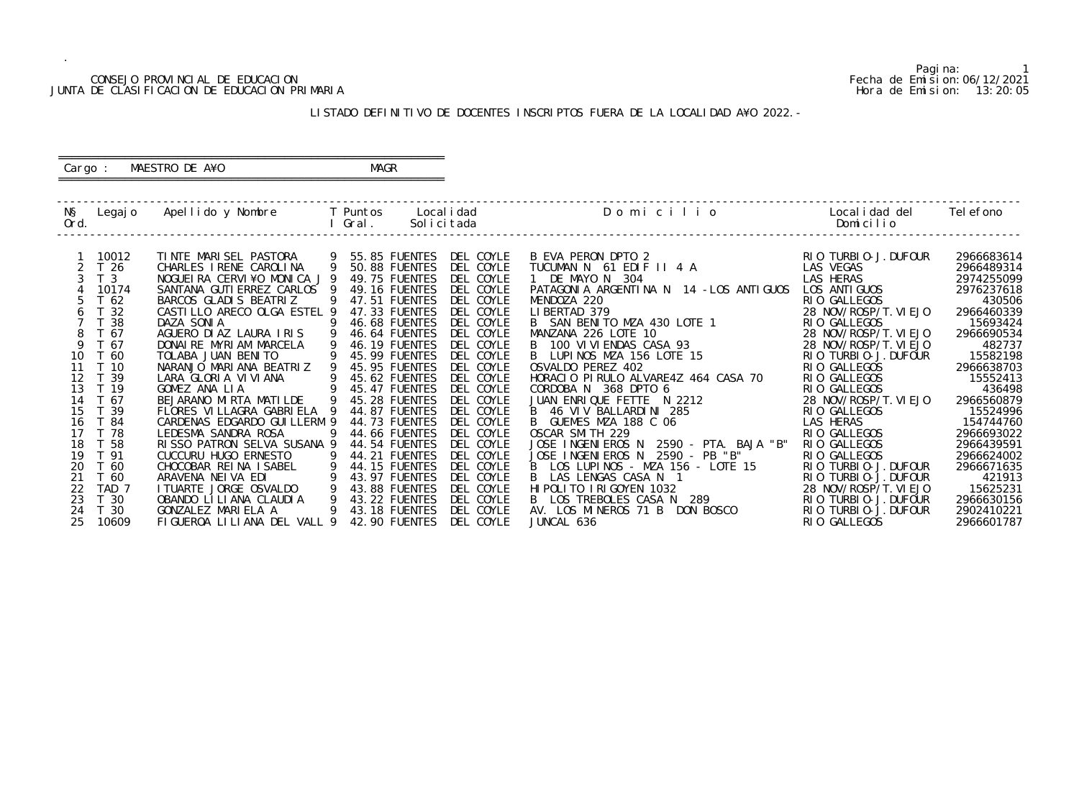### CONSEJO PROVINCIAL DE EDUCACION Fecha de Emision:06/12/2021 JUNTA DE CLASIFICACION DE EDUCACION PRIMARIA Hora de Emision: 13:20:05

# ========================================================== Cargo : MAESTRO DE A¥O **MAGR**

# LISTADO DEFINITIVO DE DOCENTES INSCRIPTOS FUERA DE LA LOCALIDAD A¥O 2022.-

==========================================================

| NŞ<br>Ord. | Legaj o          | Apellido y Nombre            |   | T Puntos<br>Gral. | Local i dad<br>Solicitada | Domicilio                                 | Local i dad del<br>Domicilio | Tel efono  |
|------------|------------------|------------------------------|---|-------------------|---------------------------|-------------------------------------------|------------------------------|------------|
|            |                  |                              |   |                   |                           |                                           |                              |            |
|            | 10012            | TINTE MARISEL PASTORA        | 9 | 55.85 FUENTES     | DEL COYLE                 | B EVA PERON DPTO 2                        | RIO TURBIO-J. DUFOUR         | 2966683614 |
|            | T <sub>26</sub>  | CHARLES I RENE CAROLINA      | 9 | 50.88 FUENTES     | DEL COYLE                 | TUCUMAN N 61 EDIF II 4 A                  | LAS VEGAS                    | 2966489314 |
|            | T <sub>3</sub>   | NOGUEIRA CERVI¥O MONICA J 9  |   | 49.75 FUENTES     | DEL COYLE                 | 1 DE MAYO N 304                           | LAS HERAS                    | 2974255099 |
|            | 10174            | SANTANA GUTI ERREZ CARLOS    |   | 49.16 FUENTES     | DEL COYLE                 | PATAGONIA ARGENTINA N 14 - LOS ANTIGUOS   | LOS ANTI GUOS                | 2976237618 |
|            | T 62             | BARCOS GLADIS BEATRIZ        | 9 | 47.51 FUENTES     | DEL COYLE                 | MENDOZA 220                               | RIO GALLEGOS                 | 430506     |
|            | T 32             | CASTILLO ARECO OLGA ESTEL 9  |   | 47.33 FUENTES     | DEL COYLE                 | LIBERTAD 379                              | 28 NOV/ROSP/T. VI EJO        | 2966460339 |
|            | 38               | DAZA SONIA                   | 9 | 46.68 FUENTES     | DEL COYLE                 | B SAN BENITO MZA 430 LOTE 1               | RIO GALLEGOS                 | 15693424   |
|            | T 67             | AGUERO DI AZ LAURA I RIS     |   | 46.64 FUENTES     | DEL COYLE                 | MANZANA 226 LOTE 10                       | 28 NOV/ROSP/T. VI EJO        | 2966690534 |
| 9          | T 67             | DONAI RE MYRI AM MARCELA     |   | 46.19 FUENTES     | DEL COYLE                 | B 100 VIVIENDAS CASA 93                   | 28 NOV/ROSP/T. VIEJO         | 482737     |
| 10         | T 60             | TOLABA JUAN BENITO           |   | 45.99 FUENTES     | DEL COYLE                 | LUPINOS MZA 156 LOTE 15                   | RIO TURBIO-J. DUFOUR         | 15582198   |
| 11         | T 10             | NARANJO MARIANA BEATRIZ      |   | 45.95 FUENTES     | DEL COYLE                 | OSVALDO PEREZ 402                         | RIO GALLEGOS                 | 2966638703 |
| 12         | T 39             | LARA GLORIA VIVIANA          |   | 45.62 FUENTES     | DEL COYLE                 | HORACIO PIRULO ALVARE4Z 464 CASA 70       | RIO GALLEGOS                 | 15552413   |
| 13         | T 19             | GOMEZ ANA LIA                | 9 | 45.47 FUENTES     | DEL COYLE                 | CORDOBA N 368 DPTO 6                      | RIO GALLEGOS                 | 436498     |
| 14         | T 67             | BEJARANO MIRTA MATILDE       | 9 | 45.28 FUENTES     | DEL COYLE                 | JUAN ENRIQUE FETTE N 2212                 | 28 NOV/ROSP/T. VI EJO        | 2966560879 |
| 15         | T 39             | FLORES VILLAGRA GABRIELA 9   |   | 44.87 FUENTES     | DEL COYLE                 | B 46 VIV BALLARDINI 285                   | RIO GALLEGOS                 | 15524996   |
| 16         | T 84             | CARDENAS EDGARDO GUI LLERM 9 |   | 44.73 FUENTES     | DEL COYLE                 | B<br>GUEMES MZA 188 C 06                  | LAS HERAS                    | 154744760  |
| 17         | T 78             | LEDESMA SANDRA ROSA          | 9 | 44.66 FUENTES     | DEL COYLE                 | OSCAR SMITH 229                           | RIO GALLEGOS                 | 2966693022 |
| 18         | T 58             | RISSO PATRON SELVA SUSANA 9  |   | 44.54 FUENTES     | DEL COYLE                 | 2590 - PTA. BAJA "B"<br>JOSE INGENIEROS N | RIO GALLEGOS                 | 2966439591 |
| 19         | T 91             | CUCCURU HUGO ERNESTO         | 9 | 44.21 FUENTES     | DEL COYLE                 | JOSE INGENIEROS N<br>2590 - PB "B"        | RIO GALLEGOS                 | 2966624002 |
| 20         | T 60             | CHOCOBAR REINA ISABEL        | 9 | 44.15 FUENTES     | DEL COYLE                 | B LOS LUPINOS - MZA 156 - LOTE 15         | RIO TURBIO-J. DUFOUR         | 2966671635 |
| 21         | T 60             | ARAVENA NEIVA EDI            | 9 | 43.97 FUENTES     | DEL COYLE                 | B.<br>LAS LENGAS CASA N 1                 | RIO TURBIO-J. DUFOUR         | 421913     |
| 22         | TAD <sub>7</sub> | I TUARTE JORGE OSVALDO       | 9 | 43.88 FUENTES     | DEL COYLE                 | HI POLITO I RI GOYEN 1032                 | 28 NOV/ROSP/T. VIEJO         | 15625231   |
| 23         | T 30             | OBANDO LI LI ANA CLAUDI A    | 9 | 43.22 FUENTES     | DEL COYLE                 | LOS TREBOLES CASA N 289<br>B —            | RIO TURBIO-J. DUFOUR         | 2966630156 |
| 24         | T 30             | GONZALEZ MARIELA A           |   | 43.18 FUENTES     | DEL COYLE                 | AV. LOS MINEROS 71 B DON BOSCO            | RIO TURBIO-J. DUFOUR         | 2902410221 |
| 25         | 10609            | FIGUEROA LILIANA DEL VALL 9  |   | 42.90 FUENTES     | DEL COYLE                 | JUNCAL 636                                | RIO GALLEGOS                 | 2966601787 |

Pagina: 1<br>Fecha de Emision: 06/12/2021<br>Hora de Emision: 13: 20: 05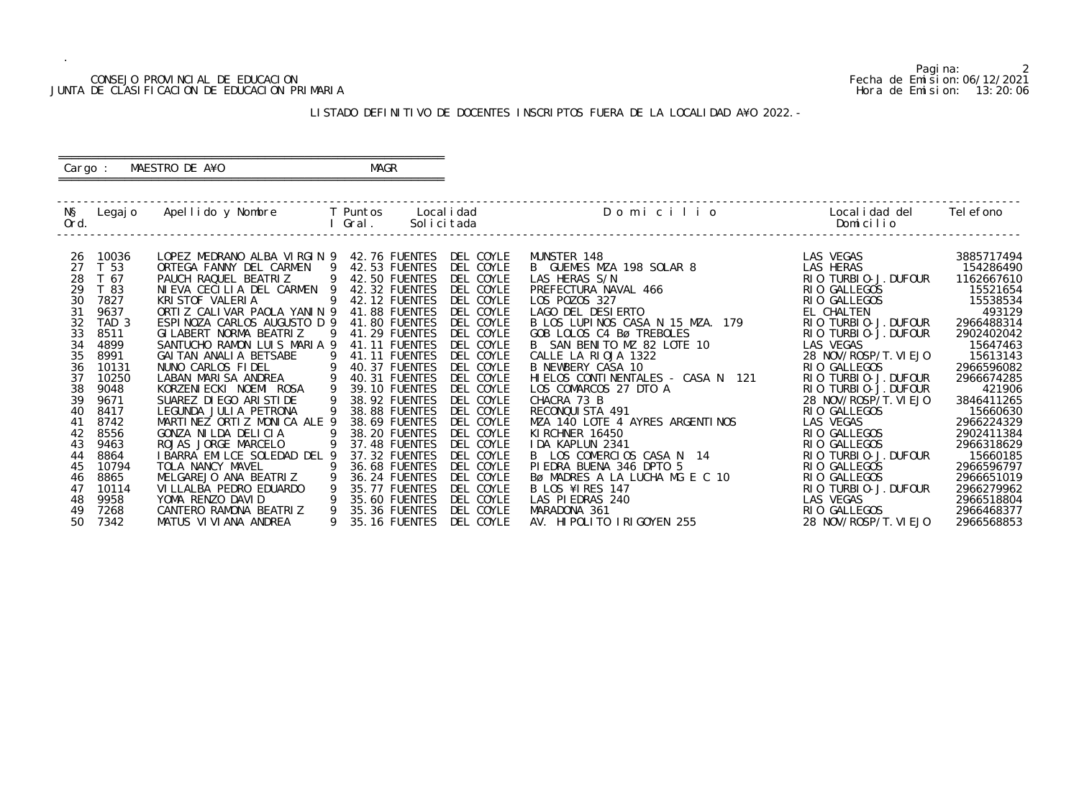### CONSEJO PROVINCIAL DE EDUCACION Fecha de Emision:06/12/2021 JUNTA DE CLASIFICACION DE EDUCACION PRIMARIA Hora de Emision: 13:20:06

# ========================================================== Cargo : MAESTRO DE A¥O **MAGR**

# LISTADO DEFINITIVO DE DOCENTES INSCRIPTOS FUERA DE LA LOCALIDAD A¥O 2022.-

==========================================================

| NŞ<br>Ord. | Legaj o          | Apellido y Nombre              | T Puntos<br>Gral. |                      | Local i dad<br>Solicitada | Domicilio                         | Local i dad del<br>Domicilio         | Tel efono              |
|------------|------------------|--------------------------------|-------------------|----------------------|---------------------------|-----------------------------------|--------------------------------------|------------------------|
|            |                  |                                |                   |                      |                           |                                   |                                      |                        |
| 26         | 10036            | LOPEZ MEDRANO ALBA VIRGIN 9    |                   | 42.76 FUENTES        | DEL COYLE                 | MUNSTER 148                       | LAS VEGAS                            | 3885717494             |
| 27         | T <sub>53</sub>  | ORTEGA FANNY DEL CARMEN<br>- 9 |                   | 42.53 FUENTES        | DEL COYLE                 | B GUEMES MZA 198 SOLAR 8          | LAS HERAS                            | 154286490              |
| 28         | T 67             | PAUCH RAQUEL BEATRIZ<br>9      |                   | 42.50 FUENTES        | DEL COYLE                 | LAS HERAS S/N                     |                                      |                        |
| 29         | T 83             | NIEVA CECILIA DEL CARMEN       |                   | 42.32 FUENTES        | DEL COYLE                 |                                   | RIO TURBIO-J. DUFOUR<br>RIO GALLEGOS | 1162667610<br>15521654 |
|            |                  | 9                              |                   |                      |                           | PREFECTURA NAVAL 466              |                                      |                        |
| 30         | 7827             | KRI STOF VALERIA               |                   | 42.12 FUENTES        | DEL COYLE                 | LOS POZOS 327                     | RIO GALLEGOS                         | 15538534               |
| 31         | 9637             | ORTIZ CALIVAR PAOLA YANIN 9    |                   | 41.88 FUENTES        | DEL COYLE                 | LAGO DEL DESIERTO                 | EL CHALTEN                           | 493129                 |
| 32         | TAD <sub>3</sub> | ESPINOZA CARLOS AUGUSTO D 9    |                   | 41.80 FUENTES        | DEL COYLE                 | B LOS LUPINOS CASA N 15 MZA. 179  | RIO TURBIO-J. DUFOUR                 | 2966488314             |
| 33         | 8511             | GI LABERT NORMA BEATRIZ<br>-9  |                   | 41.29 FUENTES        | DEL COYLE                 | GOB LOLOS C4 Bø TREBOLES          | RIO TURBIO-J. DUFOUR                 | 2902402042             |
| 34         | 4899             | SANTUCHO RAMON LUIS MARIA 9    |                   | 41.11 FUENTES        | DEL COYLE                 | B SAN BENITO MZ 82 LOTE 10        | LAS VEGAS                            | 15647463               |
| 35         | 8991             | GAI TAN ANALI A BETSABE<br>9   |                   | <b>41.11 FUENTES</b> | DEL COYLE                 | CALLE LA RIOJA 1322               | 28 NOV/ROSP/T. VI EJO                | 15613143               |
| 36         | 10131            | 9<br>NUNO CARLOS FIDEL         |                   | 40.37 FUENTES        | DEL COYLE                 | B NEWBERY CASA 10                 | RIO GALLEGOS                         | 2966596082             |
| 37         | 10250            | LABAN MARISA ANDREA<br>9       |                   | 40.31 FUENTES        | DEL COYLE                 | HIELOS CONTINENTALES - CASA N 121 | RIO TURBIO-J. DUFOUR                 | 2966674285             |
| 38         | 9048             | KORZENI ECKI NOEMI ROSA<br>9   |                   | 39.10 FUENTES        | DEL COYLE                 | LOS COMARCOS 27 DTO A             | RIO TURBIO-J. DUFOUR                 | 421906                 |
| 39         | 9671             | 9<br>SUAREZ DI EGO ARI STI DE  |                   | 38.92 FUENTES        | DEL COYLE                 | CHACRA 73 B                       | 28 NOV/ROSP/T. VI EJO                | 3846411265             |
| 40         | 8417             | LEGUNDA JULIA PETRONA<br>9     |                   | 38.88 FUENTES        | DEL COYLE                 | RECONQUISTA 491                   | RIO GALLEGOS                         | 15660630               |
| 41         | 8742             | MARTINEZ ORTIZ MONICA ALE 9    |                   | 38.69 FUENTES        | DEL COYLE                 | MZA 140 LOTE 4 AYRES ARGENTINOS   | LAS VEGAS                            | 2966224329             |
| 42         | 8556             | 9<br>GONZA NILDA DELICIA       |                   | 38.20 FUENTES        | DEL COYLE                 | KI RCHNER 16450                   | RIO GALLEGOS                         | 2902411384             |
| 43         | 9463             | ROJAS JORGE MARCELO<br>9       |                   | 37.48 FUENTES        | DEL COYLE                 | IDA KAPLUN 2341                   | RIO GALLEGOS                         | 2966318629             |
| 44         | 8864             | I BARRA EMILCE SOLEDAD DEL 9   |                   | 37.32 FUENTES        | DEL COYLE                 | B LOS COMERCIOS CASA N 14         | RIO TURBIO-J. DUFOUR                 | 15660185               |
| 45         | 10794            | TOLA NANCY MAVEL               |                   | 36.68 FUENTES        | DEL COYLE                 | PIEDRA BUENA 346 DPTO 5           | RIO GALLEGOS                         | 2966596797             |
| 46         | 8865             | MELGAREJO ANA BEATRIZ<br>-9    |                   | 36.24 FUENTES        | DEL COYLE                 | BØ MADRES A LA LUCHA MG E C 10    | RIO GALLEGOS                         | 2966651019             |
| 47         | 10114            | 9<br>VI LLALBA PEDRO EDUARDO   |                   | 35.77 FUENTES        | DEL COYLE                 | B LOS ¥1 RES 147                  | RIO TURBIO-J. DUFOUR                 | 2966279962             |
| 48         | 9958             | YOMA RENZO DAVID               |                   | 35.60 FUENTES        | DEL COYLE                 | LAS PIEDRAS 240                   | LAS VEGAS                            | 2966518804             |
| 49         | 7268             | 9<br>CANTERO RAMONA BEATRIZ    |                   | 35.36 FUENTES        | DEL COYLE                 | MARADONA 361                      | RIO GALLEGOS                         | 2966468377             |
| 50         | 7342             | MATUS VI VI ANA ANDREA<br>9    |                   | 35.16 FUENTES        | DEL COYLE                 | AV. HIPOLITO IRIGOYEN 255         | 28 NOV/ROSP/T. VI EJO                | 2966568853             |

Pagina: 2<br>Fecha de Emision: 06/12/2021<br>Hora de Emision: 13: 20: 06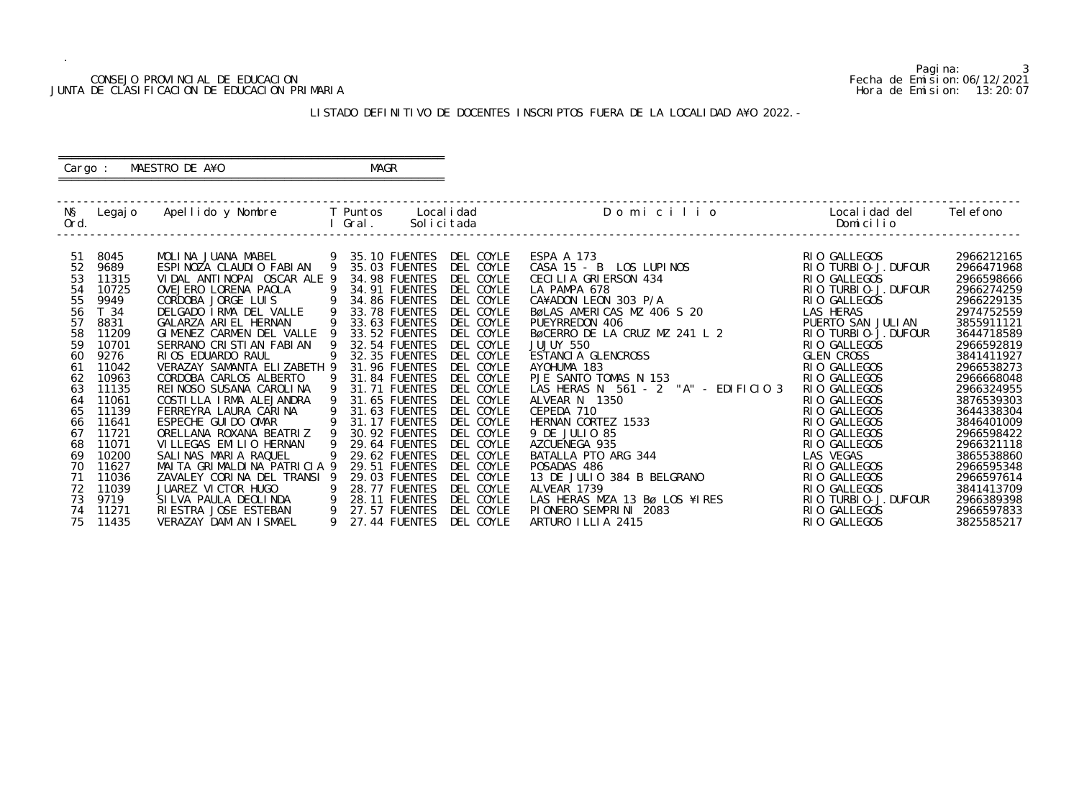### CONSEJO PROVINCIAL DE EDUCACION Fecha de Emision:06/12/2021 JUNTA DE CLASIFICACION DE EDUCACION PRIMARIA Hora de Emision: 13:20:07

# ========================================================== Cargo : MAESTRO DE A¥O **MAGR**

# LISTADO DEFINITIVO DE DOCENTES INSCRIPTOS FUERA DE LA LOCALIDAD A¥O 2022.-

==========================================================

| NŞ<br>Ord.                                                                                                                                          | Legaj o                                                                                                                                                                                                                | Apellido y Nombre     T Puntos                                                                                                                                                                                                                                                                                                                                                                                                                                                                                                                                                                                                                                                          |                                                                                                                                       | Local i dad<br>l Gral.                                                                                                                                                                                                                                                                                                                                                                                                                              | Solicitada                                                                                                                                                                                                                                                                                                                        | Domicilio                                                                                                                                                                                                                                                                                                                                                                                                                                                                                                                                                                                                             | Localidad del<br>Domicilio                                                                                                                                                                                                                                                                                                                                                                                                                       | Tel efono                                                                                                                                                                                                                                                                                                                                                  |
|-----------------------------------------------------------------------------------------------------------------------------------------------------|------------------------------------------------------------------------------------------------------------------------------------------------------------------------------------------------------------------------|-----------------------------------------------------------------------------------------------------------------------------------------------------------------------------------------------------------------------------------------------------------------------------------------------------------------------------------------------------------------------------------------------------------------------------------------------------------------------------------------------------------------------------------------------------------------------------------------------------------------------------------------------------------------------------------------|---------------------------------------------------------------------------------------------------------------------------------------|-----------------------------------------------------------------------------------------------------------------------------------------------------------------------------------------------------------------------------------------------------------------------------------------------------------------------------------------------------------------------------------------------------------------------------------------------------|-----------------------------------------------------------------------------------------------------------------------------------------------------------------------------------------------------------------------------------------------------------------------------------------------------------------------------------|-----------------------------------------------------------------------------------------------------------------------------------------------------------------------------------------------------------------------------------------------------------------------------------------------------------------------------------------------------------------------------------------------------------------------------------------------------------------------------------------------------------------------------------------------------------------------------------------------------------------------|--------------------------------------------------------------------------------------------------------------------------------------------------------------------------------------------------------------------------------------------------------------------------------------------------------------------------------------------------------------------------------------------------------------------------------------------------|------------------------------------------------------------------------------------------------------------------------------------------------------------------------------------------------------------------------------------------------------------------------------------------------------------------------------------------------------------|
| -51<br>52<br>53<br>54<br>55<br>56<br>57<br>58<br>59<br>60<br>61<br>62<br>63<br>64<br>65<br>66<br>67<br>68<br>69<br>70<br>71<br>72<br>73<br>74<br>75 | 8045<br>9689<br>11315<br>10725<br>9949<br>T 34<br>8831<br>11209<br>10701<br>9276<br>11042<br>10963<br>11135<br>11061<br>11139<br>11641<br>11721<br>11071<br>10200<br>11627<br>11036<br>11039<br>9719<br>11271<br>11435 | MOLINA JUANA MABEL<br>$\overline{9}$<br>ESPINOZA CLAUDIO FABIAN<br>VIDAL ANTINOPAI OSCAR ALE 9<br>OVEJERO LORENA PAOLA<br>CORDOBA JORGE LUIS<br>DELGADO IRMA DEL VALLE<br>GALARZA ARIEL HERNAN<br>GIMENEZ CARMEN DEL VALLE<br>SERRANO CRISTIAN FABIAN<br>RIOS EDUARDO RAUL<br>VERAZAY SAMANTA ELIZABETH 9<br>CORDOBA CARLOS ALBERTO<br>REI NOSO SUSANA CAROLINA<br>COSTILLA IRMA ALEJANDRA<br>FERREYRA LAURA CARINA<br>ESPECHE GUI DO OMAR<br>ORELLANA ROXANA BEATRIZ<br>VILLEGAS EMILIO HERNAN<br>SALINAS MARIA RAQUEL<br>MAITA GRIMALDINA PATRICIA 9<br>ZAVALEY CORINA DEL TRANSI 9<br>JUAREZ VICTOR HUGO<br>SILVA PAULA DEOLINDA<br>RI ESTRA JOSE ESTEBAN<br>VERAZAY DAMI AN I SMAEL | 9<br>9<br>$\overline{9}$<br>9<br>9<br><b>9</b><br>9<br>9<br>9<br>9<br>9<br>$\overline{9}$<br>9<br>9<br>9<br>$\overline{9}$<br>-9<br>9 | 35.10 FUENTES<br>35.03 FUENTES<br>34.98 FUENTES<br>34.91 FUENTES<br>34.86 FUENTES<br>33.78 FUENTES<br>33.63 FUENTES<br>33.52 FUENTES<br>32.54 FUENTES<br>32.35 FUENTES<br>31.96 FUENTES<br>31.84 FUENTES<br>31.71 FUENTES<br>31.65 FUENTES<br>31.63 FUENTES<br>31.17 FUENTES<br>30.92 FUENTES<br>29.64 FUENTES<br>29.62 FUENTES<br><b>29.51 FUENTES</b><br>29.03 FUENTES<br><b>28.77 FUENTES</b><br>28.11 FUENTES<br>27.57 FUENTES<br>27.44 FUENTES | DEL COYLE<br>DEL COYLE<br>DEL COYLE<br>DEL COYLE<br>DEL COYLE<br>DEL COYLE<br>DEL COYLE<br>DEL COYLE<br>DEL COYLE<br>DEL COYLE<br>DEL COYLE<br>DEL COYLE<br>DEL COYLE<br>DEL COYLE<br>DEL COYLE<br>DEL COYLE<br>DEL COYLE<br>DEL COYLE<br>DEL COYLE<br>DEL COYLE<br>DEL COYLE<br>DEL COYLE<br>DEL COYLE<br>DEL COYLE<br>DEL COYLE | ESPA A 173<br>CASA 15 - B LOS LUPINOS<br>CASA TO - D LOS LOTTOS<br>CECILIA GRIERSON 434<br>LA PAMPA 678<br>CA¥ADON LEON 303 P/A<br>BøLAS AMERICAS MZ 406 S 20<br>PUEYRREDON 406<br>BØCERRO DE LA CRUZ MZ 241 L 2<br>JUJUY 550<br>ESTANCIA GLENCROSS<br>AYOHUMA 183<br>PJE SANTO TOMAS N 153<br>PJE SANTO TOMAS N 153<br>LAS HERAS N 561 - 2 "A" - EDIFICIO 3<br>ALVEAR N 1350<br>CEPEDA 710<br>HERNAN CORTEZ 1533<br>9 DE JULIO 85<br>AZCUENEGA 935<br>BATALLA PTO ARG 344<br>POSADAS 486<br>13 DE JULIO 384 B BELGRANO<br>ALVEAR 1739<br>LAS HERAS MZA 13 Bø LOS ¥IRES<br>PIONERO SEMPRINI 2083<br>ARTURO ILLIA 2415 | RIO GALLEGOS<br>RIO TURBIO-J. DUFOUR<br>RIO GALLEGOS<br>RIO TURBIO-J. DUFOUR<br>RIO GALLEGOS<br>LAS HERAS<br>PUERTO SAN JULIAN<br>RIO TURBIO-J. DUFOUR<br>RIO GALLEGOS<br><b>GLEN CROSS</b><br>RIO GALLEGOS<br>RIO GALLEGOS<br>RIO GALLEGOS<br>RIO GALLEGOS<br>RIO GALLEGOS<br>RIO GALLEGOS<br>RIO GALLEGOS<br>RIO GALLEGOS<br>LAS VEGAS<br>RIO GALLEGOS<br>RIO GALLEGOS<br>RIO GALLEGOS<br>RIO TURBIO-J. DUFOUR<br>RIO GALLEGOS<br>RIO GALLEGOS | 2966212165<br>2966471968<br>2966598666<br>2966274259<br>2966229135<br>2974752559<br>3855911121<br>3644718589<br>2966592819<br>3841411927<br>2966538273<br>2966668048<br>2966324955<br>3876539303<br>3644338304<br>3846401009<br>2966598422<br>2966321118<br>3865538860<br>2966595348<br>2966597614<br>3841413709<br>2966389398<br>2966597833<br>3825585217 |

Pagina: 3<br>Fecha de Emision: 06/12/2021<br>Hora de Emision: 13: 20: 07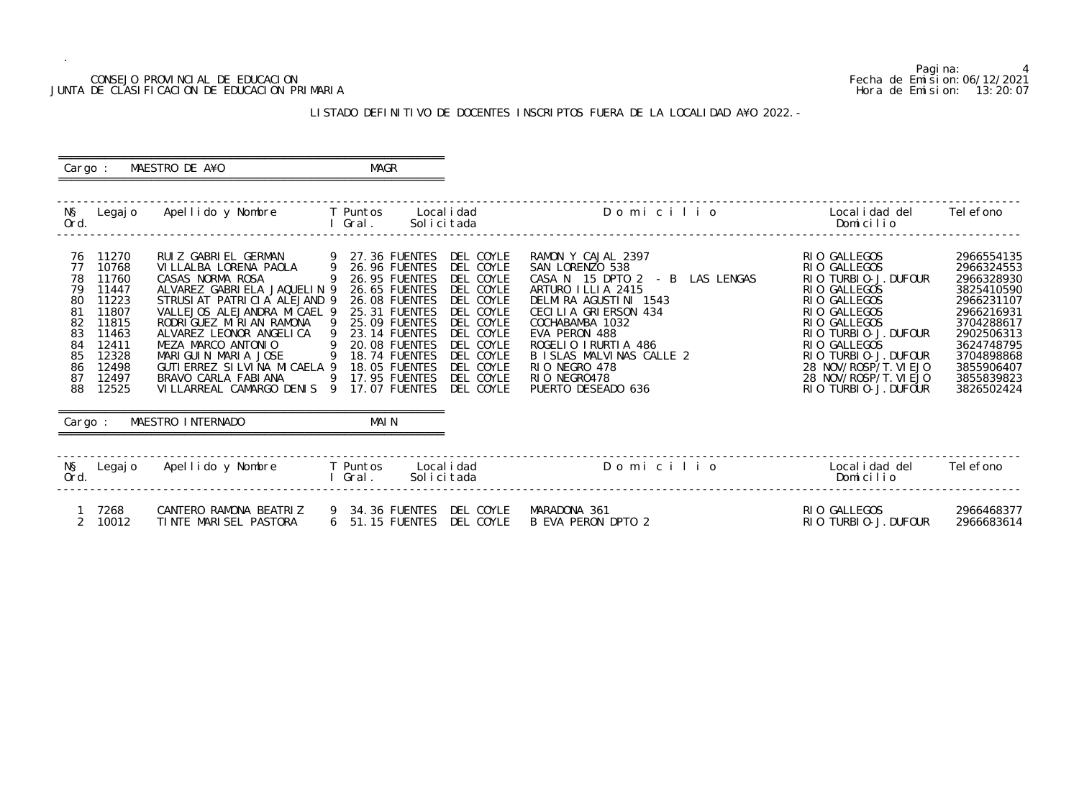### CONSEJO PROVINCIAL DE EDUCACION Fecha de Emision:06/12/2021 JUNTA DE CLASIFICACION DE EDUCACION PRIMARIA Hora de Emision: 13:20:07

# LISTADO DEFINITIVO DE DOCENTES INSCRIPTOS FUERA DE LA LOCALIDAD A¥O 2022.-

 ========================================================== Cargo : MAESTRO DE A¥O **MAGR** ==========================================================

| NŞ<br>Ord.                                                                                                                                                                                                | Legajo Apellido y Nombre T Puntos                                                                                                                                                                                                                                                                                                                                                                | Local i dad<br>Gral.<br>Solicitada                                                                                                                                                                                                                                                                                                                                                                                                          | Domicilio                                                                                                                                                                                                                                                                                    | Local i dad del<br>Domicilio                                                                                                                                                                                                                                   | Tel efono                                                                                                                                                                          |
|-----------------------------------------------------------------------------------------------------------------------------------------------------------------------------------------------------------|--------------------------------------------------------------------------------------------------------------------------------------------------------------------------------------------------------------------------------------------------------------------------------------------------------------------------------------------------------------------------------------------------|---------------------------------------------------------------------------------------------------------------------------------------------------------------------------------------------------------------------------------------------------------------------------------------------------------------------------------------------------------------------------------------------------------------------------------------------|----------------------------------------------------------------------------------------------------------------------------------------------------------------------------------------------------------------------------------------------------------------------------------------------|----------------------------------------------------------------------------------------------------------------------------------------------------------------------------------------------------------------------------------------------------------------|------------------------------------------------------------------------------------------------------------------------------------------------------------------------------------|
| 11270<br>76<br>10768<br>77<br>11760<br>78<br>79<br>11447<br>11223<br>80<br>11807<br>81<br>82<br>11815<br>83<br>11463<br>84<br>12411<br>85<br>12328<br>86<br>12498<br>87<br>12497<br>88<br>12525<br>Cargo: | RUIZ GABRIEL GERMAN 9 27.36 FUENTES<br>VILLALBA LORENA PAOLA<br>CASAS NORMA ROSA<br>ALVAREZ GABRIELA JAQUELIN 9<br>STRUSIAT PATRICIA ALEJAND 9<br>VALLEJOS ALEJANDRA MICAEL 9<br>RODRI GUEZ MI RI AN RAMONA<br>ALVAREZ LEONOR ANGELICA<br>MEZA MARCO ANTONIO<br>MARIGUIN MARIA JOSE<br>GUTI ERREZ SI LVI NA MI CAELA 9<br>BRAVO CARLA FABIANA<br>VILLARREAL CAMARGO DENIS 9<br>MAESTRO INTERNADO | DEL COYLE<br>$\overline{9}$<br>26.96 FUENTES<br>DEL COYLE<br>9<br>26.95 FUENTES<br>DEL COYLE<br>26.65 FUENTES<br>DEL COYLE<br>DEL COYLE<br><b>26.08 FUENTES</b><br>DEL COYLE<br>25.31 FUENTES<br>25.09 FUENTES<br>DEL COYLE<br>- 9<br>23.14 FUENTES<br>DEL COYLE<br>20.08 FUENTES<br>DEL COYLE<br>- 9<br>DEL COYLE<br>18.74 FUENTES<br>DEL COYLE<br>18.05 FUENTES<br>9<br>17.95 FUENTES<br>DEL COYLE<br>17.07 FUENTES<br>DEL COYLE<br>MAI N | RAMON Y CAJAL 2397<br>SAN LORENZO 538<br>CASA N 15 DPTO 2 - B LAS LENGAS<br>ARTURO ILLIA 2415<br>DELMIRA AGUSTINI 1543<br>CECILIA GRIERSON 434<br>COCHABAMBA 1032<br>EVA PERON 488<br>ROGELIO IRURTIA 486<br>B ISLAS MALVINAS CALLE 2<br>RIO NEGRO 478<br>RIO NEGRO478<br>PUERTO DESEADO 636 | RIO GALLEGOS<br>RIO GALLEGOS<br>RIO TURBIO-J. DUFOUR<br>RIO GALLEGOS<br>RIO GALLEGOS<br>RIO GALLEGOS<br>RIO GALLEGOS<br>RIO TURBIO-J. DUFOUR<br>RIO GALLEGOS<br>RIO TURBIO-J. DUFOUR<br>28 NOV/ROSP/T. VI EJO<br>28 NOV/ROSP/T. VI EJO<br>RIO TURBIO-J. DUFOUR | 2966554135<br>2966324553<br>2966328930<br>3825410590<br>2966231107<br>2966216931<br>3704288617<br>2902506313<br>3624748795<br>3704898868<br>3855906407<br>3855839823<br>3826502424 |
| NŞ<br>Legaj o<br>Ord.                                                                                                                                                                                     | Apellido y Nombre T Puntos                                                                                                                                                                                                                                                                                                                                                                       | Local i dad<br>I Gral.<br>Solicitada                                                                                                                                                                                                                                                                                                                                                                                                        | Domicilio                                                                                                                                                                                                                                                                                    | Local i dad del<br>Domicilio                                                                                                                                                                                                                                   | Tel efono                                                                                                                                                                          |
| 7268<br>2<br>10012                                                                                                                                                                                        | CANTERO RAMONA BEATRIZ<br>TINTE MARISEL PASTORA                                                                                                                                                                                                                                                                                                                                                  | DEL COYLE<br>9 34.36 FUENTES<br>6 51.15 FUENTES<br>DEL COYLE                                                                                                                                                                                                                                                                                                                                                                                | MARADONA 361<br>B EVA PERON DPTO 2                                                                                                                                                                                                                                                           | RIO GALLEGOS<br>RIO TURBIO-J. DUFOUR                                                                                                                                                                                                                           | 2966468377<br>2966683614                                                                                                                                                           |

Pagina: 4<br>Fecha de Emision: 06/12/2021<br>Hora de Emision: 13: 20: 07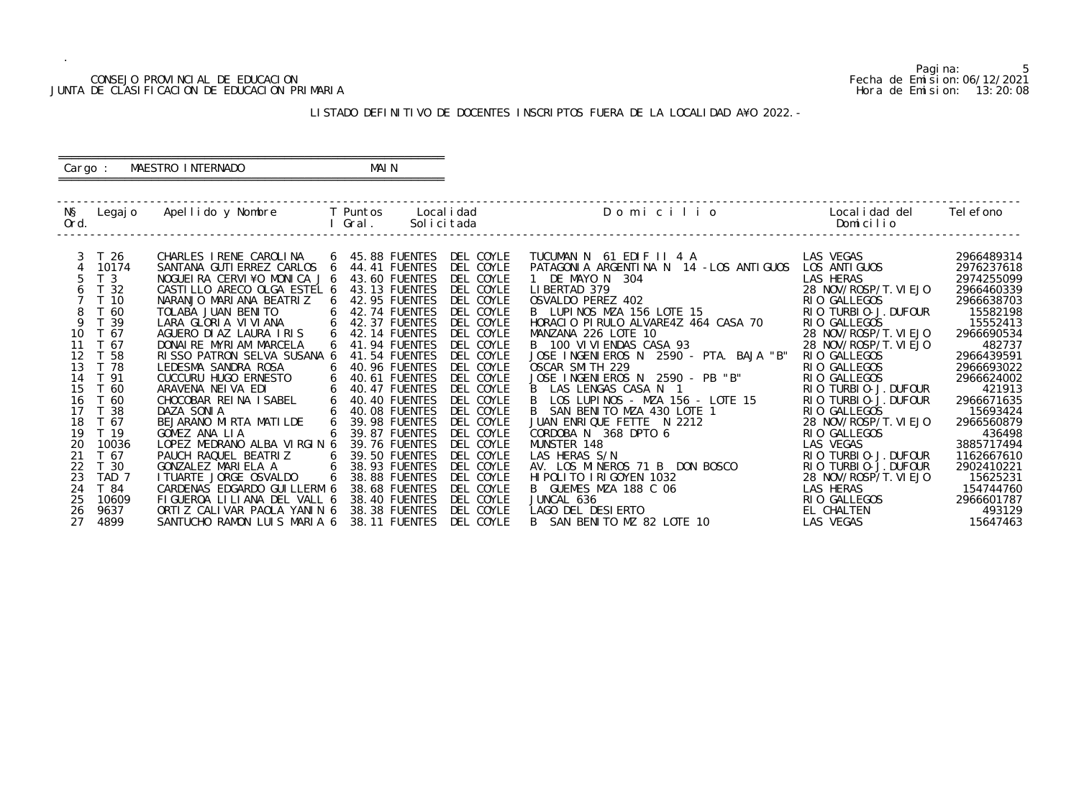### CONSEJO PROVINCIAL DE EDUCACION Fecha de Emision:06/12/2021 JUNTA DE CLASIFICACION DE EDUCACION PRIMARIA Hora de Emision: 13:20:08

# ========================================================== Cargo : MAESTRO INTERNADO MAIN

# LISTADO DEFINITIVO DE DOCENTES INSCRIPTOS FUERA DE LA LOCALIDAD A¥O 2022.-

==========================================================

| NŞ<br>Ord. | Legaj o          | Apellido y Nombre       T Puntos      |                | Gral.           | Local i dad<br>Solicitada | Domicilio                               | Localidad del<br>Domicilio | Tel efono  |
|------------|------------------|---------------------------------------|----------------|-----------------|---------------------------|-----------------------------------------|----------------------------|------------|
|            | T 26             | CHARLES IRENE CAROLINA                |                | 6 45.88 FUENTES | DEL COYLE                 | TUCUMAN N 61 EDIF II 4 A                | LAS VEGAS                  | 2966489314 |
|            | 10174            | SANTANA GUTI ERREZ CARLOS 6           |                | 44.41 FUENTES   | DEL COYLE                 | PATAGONIA ARGENTINA N 14 - LOS ANTIGUOS | LOS ANTI GUOS              | 2976237618 |
|            | T <sub>3</sub>   | NOGUEIRA CERVI¥O MONICA J 6           |                | 43.60 FUENTES   | DEL COYLE                 | 1 DE MAYO N 304                         | LAS HERAS                  | 2974255099 |
| 6          | T 32             | CASTILLO ARECO OLGA ESTEL 6           |                | 43.13 FUENTES   | DEL COYLE                 | LIBERTAD 379                            | 28 NOV/ROSP/T. VI EJO      | 2966460339 |
|            | T <sub>10</sub>  | NARANJO MARIANA BEATRIZ               | 6              | 42.95 FUENTES   | DEL COYLE                 | OSVALDO PEREZ 402                       | RIO GALLEGOS               | 2966638703 |
|            | T 60             | TOLABA JUAN BENITO                    | 6              | 42.74 FUENTES   | DEL COYLE                 | LOTE 15<br>B LUPINOS MZA 156 LOTE 15    | RIO TURBIO-J. DUFOUR       | 15582198   |
| 9          | - 39             | LARA GLORIA VIVIANA                   | 6              | 42.37 FUENTES   | DEL COYLE                 | HORACIO PIRULO ALVARE4Z 464 CASA 70     | RIO GALLEGOS               | 15552413   |
| 10         | T 67             | AGUERO DI AZ LAURA I RIS              | 6              | 42.14 FUENTES   | DEL COYLE                 | MANZANA 226 LOTE 10                     | 28 NOV/ROSP/T. VI EJO      | 2966690534 |
| 11         | T 67             | DONAI RE MYRI AM MARCELA              |                | 41.94 FUENTES   | DEL COYLE                 | B 100 VI VI ENDAS CASA 93               | 28 NOV/ROSP/T. VI EJO      | 482737     |
| 12         | T 58             | RISSO PATRON SELVA SUSANA 6           |                | 41.54 FUENTES   | DEL COYLE                 | JOSE INGENIEROS N 2590 - PTA. BAJA "B"  | RIO GALLEGOS               | 2966439591 |
| 13         | T 78             | LEDESMA SANDRA ROSA                   | 6              | 40.96 FUENTES   | DEL COYLE                 | OSCAR SMITH 229                         | RIO GALLEGOS               | 2966693022 |
| 14         | T 91             | CUCCURU HUGO ERNESTO                  | 6              | 40.61 FUENTES   | DEL COYLE                 | JOSE INGENIEROS N 2590 - PB "B"         | RIO GALLEGOS               | 2966624002 |
| 15         | T 60             | ARAVENA NEIVA EDI                     | 6              | 40.47 FUENTES   | DEL COYLE                 | B LAS LENGAS CASA N 1                   | RIO TURBIO-J. DUFOUR       | 421913     |
| 16         | T 60             | CHOCOBAR REINA ISABEL                 | 6              | 40.40 FUENTES   | DEL COYLE                 | B<br>LOS LUPINOS - MZA 156 - LOTE 15    | RIO TURBIO-J. DUFOUR       | 2966671635 |
| 17         | 38               | DAZA SONIA                            |                | 40.08 FUENTES   | DEL COYLE                 | B SAN BENITO MZA 430 LOTE 1             | RIO GALLEGOS               | 15693424   |
| 18         | T 67             | BEJARANO MIRTA MATILDE                |                | 39.98 FUENTES   | DEL COYLE                 | JUAN ENRIQUE FETTE N 2212               | 28 NOV/ROSP/T. VI EJO      | 2966560879 |
| 19         | T <sub>19</sub>  | GOMEZ ANA LIA                         | 6              | 39.87 FUENTES   | DEL COYLE                 | CORDOBA N 368 DPTO 6                    | RIO GALLEGOS               | 436498     |
| 20         | 10036            | LOPEZ MEDRANO ALBA VIRGIN 6           |                | 39.76 FUENTES   | DEL COYLE                 | MUNSTER 148                             | LAS VEGAS                  | 3885717494 |
|            | T 67             | PAUCH RAQUEL BEATRIZ                  | 6              | 39.50 FUENTES   | DEL COYLE                 | LAS HERAS S/N                           | RIO TURBIO-J. DUFOUR       | 1162667610 |
| 22         | T 30             | GONZALEZ MARIELA A<br>$6\overline{6}$ |                | 38.93 FUENTES   | DEL COYLE                 | AV. LOS MINEROS 71 B DON BOSCO          | RIO TURBIO-J. DUFOUR       | 2902410221 |
| 23         | TAD <sub>7</sub> | I TUARTE JORGE OSVALDO                | 6 <sup>6</sup> | 38.88 FUENTES   | DEL COYLE                 | HI POLITO I RI GOYEN 1032               | 28 NOV/ROSP/T. VI EJO      | 15625231   |
| 24         | T 84             | CARDENAS EDGARDO GUI LLERM 6          |                | 38.68 FUENTES   | DEL COYLE                 | B GUEMES MZA 188 C 06                   | LAS HERAS                  | 154744760  |
| 25         | 10609            | FIGUEROA LILIANA DEL VALL 6           |                | 38.40 FUENTES   | DEL COYLE                 | JUNCAL 636                              | RIO GALLEGOS               | 2966601787 |
| 26         | 9637             | ORTIZ CALIVAR PAOLA YANIN 6           |                | 38.38 FUENTES   | DEL COYLE                 | LAGO DEL DESIERTO                       | EL CHALTEN                 | 493129     |
| 27         | 4899             | SANTUCHO RAMON LUIS MARIA 6           |                | 38.11 FUENTES   | DEL COYLE                 | B SAN BENITO MZ 82 LOTE 10              | LAS VEGAS                  | 15647463   |

5<br>Fecha de Emision: 06/12/2021<br>Hora de Emision: 13: 20: 08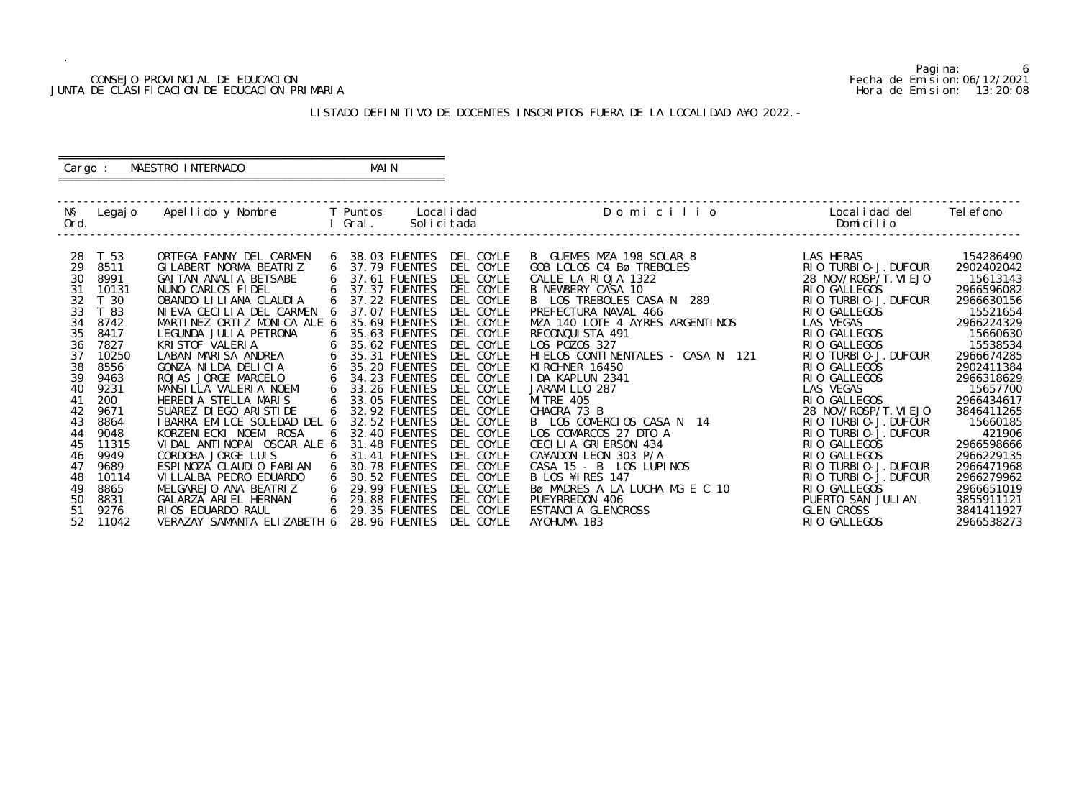### CONSEJO PROVINCIAL DE EDUCACION Fecha de Emision:06/12/2021 JUNTA DE CLASIFICACION DE EDUCACION PRIMARIA Hora de Emision: 13:20:08

# ========================================================== Cargo : MAESTRO INTERNADO MAIN

# LISTADO DEFINITIVO DE DOCENTES INSCRIPTOS FUERA DE LA LOCALIDAD A¥O 2022.-

==========================================================

| NŞ   | Legaj o         | Apellido y Nombre            |   | T Puntos             | Local i dad | Domicilio                         | Local i dad del       | Tel efono  |
|------|-----------------|------------------------------|---|----------------------|-------------|-----------------------------------|-----------------------|------------|
| Ord. |                 |                              |   | Gral.                | Solicitada  |                                   | Domicilio             |            |
|      |                 |                              |   |                      |             |                                   |                       |            |
| 28   | T 53            | ORTEGA FANNY DEL CARMEN      | 6 | 38.03 FUENTES        | DEL COYLE   | B GUEMES MZA 198 SOLAR 8          | LAS HERAS             | 154286490  |
| 29   | 8511            | GI LABERT NORMA BEATRIZ      | 6 | 37.79 FUENTES        | DEL COYLE   | GOB LOLOS C4 Bø TREBOLES          | RIO TURBIO-J. DUFOUR  | 2902402042 |
| 30   | 8991            | GAI TAN ANALI A BETSABE      | 6 | 37.61 FUENTES        | DEL COYLE   | CALLE LA RIOJA 1322               | 28 NOV/ROSP/T. VI EJO | 15613143   |
| 31   | 10131           | NUNO CARLOS FIDEL            |   | 37.37 FUENTES        | DEL COYLE   | B NEWBERY CASA 10                 | RIO GALLEGOS          | 2966596082 |
| 32   | T <sub>30</sub> | OBANDO LI LI ANA CLAUDI A    | 6 | 37.22 FUENTES        | DEL COYLE   | B LOS TREBOLES CASA N 289         | RIO TURBIO-J. DUFOUR  | 2966630156 |
| 33   | T 83            | NIEVA CECILIA DEL CARMEN     |   | 37.07 FUENTES        | DEL COYLE   | PREFECTURA NAVAL 466              | RIO GALLEGOS          | 15521654   |
| 34   | 8742            | MARTINEZ ORTIZ MONICA ALE 6  |   | 35.69 FUENTES        | DEL COYLE   | MZA 140 LOTE 4 AYRES ARGENTINOS   | LAS VEGAS             | 2966224329 |
| 35   | 8417            | LEGUNDA JULIA PETRONA        |   | 35.63 FUENTES        | DEL COYLE   | RECONQUISTA 491                   | RIO GALLEGOS          | 15660630   |
| 36   | 7827            | KRI STOF VALERIA             | 6 | 35.62 FUENTES        | DEL COYLE   | LOS POZOS 327                     | RIO GALLEGOS          | 15538534   |
| 37   | 10250           | LABAN MARISA ANDREA          | 6 | 35.31 FUENTES        | DEL COYLE   | HIELOS CONTINENTALES - CASA N 121 | RIO TURBIO-J. DUFOUR  | 2966674285 |
| 38   | 8556            | GONZA NILDA DELICIA          | 6 | 35.20 FUENTES        | DEL COYLE   | KI RCHNER 16450                   | RIO GALLEGOS          | 2902411384 |
| 39   | 9463            | ROJAS JORGE MARCELO          | 6 | 34.23 FUENTES        | DEL COYLE   | IDA KAPLUN 2341                   | RIO GALLEGOS          | 2966318629 |
| 40   | 9231            | MANSILLA VALERIA NOEMI       | 6 | 33.26 FUENTES        | DEL COYLE   | JARAMI LLO 287                    | LAS VEGAS             | 15657700   |
| 41   | 200             | HEREDIA STELLA MARIS         |   | 33.05 FUENTES        | DEL COYLE   | <b>MI TRE 405</b>                 | RIO GALLEGOS          | 2966434617 |
| 42   | 9671            | SUAREZ DI EGO ARI STI DE     | 6 | 32.92 FUENTES        | DEL COYLE   | CHACRA 73 B                       | 28 NOV/ROSP/T. VI EJO | 3846411265 |
| 43   | 8864            | I BARRA EMILCE SOLEDAD DEL 6 |   | 32.52 FUENTES        | DEL COYLE   | B LOS COMERCIOS CASA N 14         | RIO TURBIO-J. DUFOUR  | 15660185   |
| 44   | 9048            | KORZENI ECKI NOEMI ROSA      | 6 | 32.40 FUENTES        | DEL COYLE   | LOS COMARCOS 27 DTO A             | RIO TURBIO-J. DUFOUR  | 421906     |
| 45   | 11315           | VIDAL ANTINOPAI OSCAR ALE 6  |   | 31.48 FUENTES        | DEL COYLE   | CECILIA GRIERSON 434              | RIO GALLEGOS          | 2966598666 |
| 46   | 9949            | CORDOBA JORGE LUIS           | 6 | 31.41 FUENTES        | DEL COYLE   | CA¥ADON LEON 303 P/A              | RIO GALLEGOS          | 2966229135 |
| 47   | 9689            | ESPINOZA CLAUDIO FABIAN      | 6 | 30.78 FUENTES        | DEL COYLE   | CASA 15 - B LOS LUPINOS           | RIO TURBIO-J. DUFOUR  | 2966471968 |
| 48   | 10114           | VI LLALBA PEDRO EDUARDO      | 6 | 30.52 FUENTES        | DEL COYLE   | B LOS ¥IRES 147                   | RIO TURBIO-J. DUFOUR  | 2966279962 |
| 49   | 8865            | MELGAREJO ANA BEATRIZ        | 6 | <b>29.99 FUENTES</b> | DEL COYLE   | BØ MADRES A LA LUCHA MG E C 10    | RIO GALLEGOS          | 2966651019 |
| 50   | 8831            | GALARZA ARIEL HERNAN         | 6 | 29.88 FUENTES        | DEL COYLE   | PUEYRREDON 406                    | PUERTO SAN JULIAN     | 3855911121 |
| 51   | 9276            | RIOS EDUARDO RAUL            | 6 | 29.35 FUENTES        | DEL COYLE   | ESTANCIA GLENCROSS                | <b>GLEN CROSS</b>     | 3841411927 |
| 52   | 11042           | VERAZAY SAMANTA ELIZABETH 6  |   | <b>28.96 FUENTES</b> | DEL COYLE   | AYOHUMA 183                       | RIO GALLEGOS          | 2966538273 |

6<br>Fecha de Emision: 06/12/2021<br>Hora de Emision: 13: 20: 08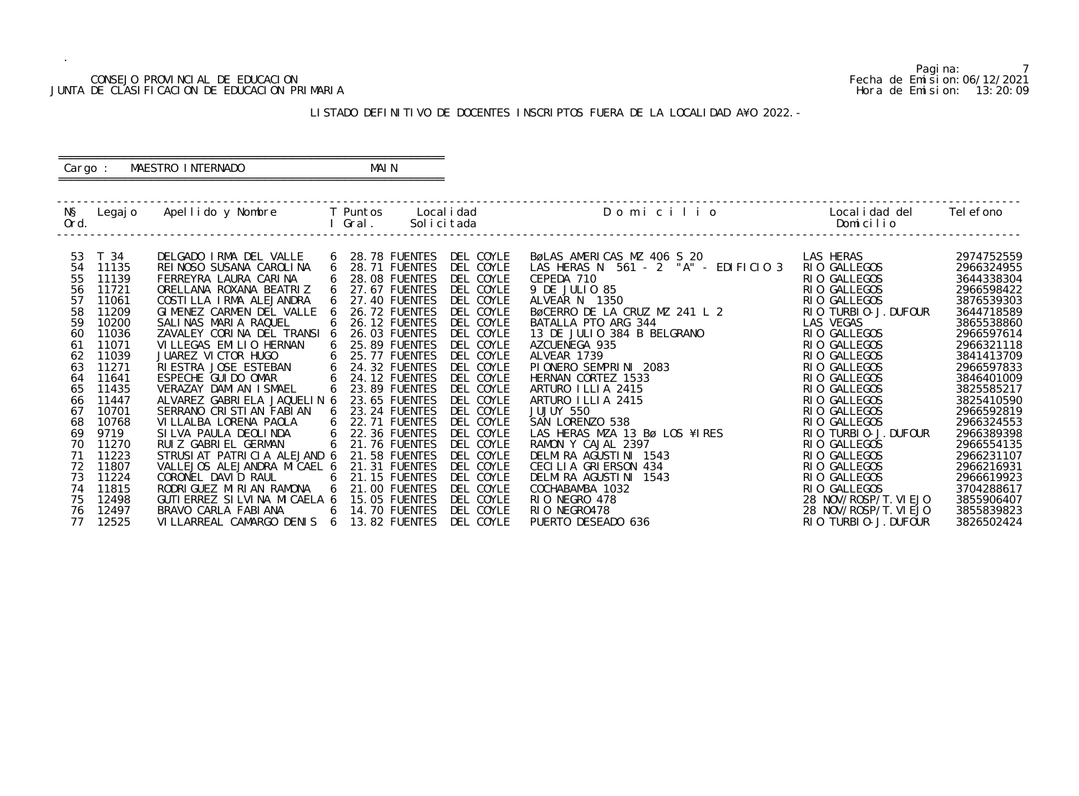### CONSEJO PROVINCIAL DE EDUCACION Fecha de Emision:06/12/2021 JUNTA DE CLASIFICACION DE EDUCACION PRIMARIA Hora de Emision: 13:20:09

# ========================================================== Cargo : MAESTRO INTERNADO MAIN

# LISTADO DEFINITIVO DE DOCENTES INSCRIPTOS FUERA DE LA LOCALIDAD A¥O 2022.-

==========================================================

| NŞ<br>Ord. | Legaj o | Apellido y Nombre               |   | T Puntos<br>Gral.    | Local i dad<br>Solicitada | Domicilio                            | Local i dad del<br>Domicilio | Tel efono  |
|------------|---------|---------------------------------|---|----------------------|---------------------------|--------------------------------------|------------------------------|------------|
| 53         | T 34    | DELGADO IRMA DEL VALLE          | 6 | 28.78 FUENTES        | DEL COYLE                 | BøLAS AMERICAS MZ 406 S 20           | LAS HERAS                    | 2974752559 |
| 54         | 11135   | REI NOSO SUSANA CAROLINA        | 6 | 28.71 FUENTES        | DEL COYLE                 | LAS HERAS N 561 - 2 "A" - EDIFICIO 3 | RIO GALLEGOS                 | 2966324955 |
| 55         | 11139   | FERREYRA LAURA CARINA           |   | <b>28.08 FUENTES</b> | DEL COYLE                 | CEPEDA 710                           | RIO GALLEGOS                 | 3644338304 |
| 56         | 11721   | ORELLANA ROXANA BEATRIZ         | 6 | 27.67 FUENTES        | DEL COYLE                 | 9 DE JULIO 85                        | RIO GALLEGOS                 | 2966598422 |
| 57         | 11061   | COSTILLA IRMA ALEJANDRA         |   | 27.40 FUENTES        | DEL COYLE                 | ALVEAR N 1350                        | RIO GALLEGOS                 | 3876539303 |
| 58         | 11209   | GIMENEZ CARMEN DEL VALLE        | 6 | <b>26.72 FUENTES</b> | DEL COYLE                 | BØCERRO DE LA CRUZ MZ 241 L 2        | RIO TURBIO-J. DUFOUR         | 3644718589 |
| 59         | 10200   | SALINAS MARIA RAQUEL            |   | <b>26.12 FUENTES</b> | DEL COYLE                 | BATALLA PTO ARG 344                  | LAS VEGAS                    | 3865538860 |
| 60         | 11036   | ZAVALEY CORINA DEL TRANSI 6     |   | 26.03 FUENTES        | DEL COYLE                 | 13 DE JULIO 384 B BELGRANO           | RIO GALLEGOS                 | 2966597614 |
| 61         | 11071   | VI LLEGAS EMILIO HERNAN         | 6 | <b>25.89 FUENTES</b> | DEL COYLE                 | AZCUENEGA 935                        | RIO GALLEGOS                 | 2966321118 |
| 62         | 11039   | JUAREZ VICTOR HUGO              | 6 | <b>25.77 FUENTES</b> | DEL COYLE                 | ALVEAR 1739                          | RIO GALLEGOS                 | 3841413709 |
| 63         | 11271   | RIESTRA JOSE ESTEBAN            | 6 | 24.32 FUENTES        | DEL COYLE                 | PIONERO SEMPRINI 2083                | RIO GALLEGOS                 | 2966597833 |
| 64         | 11641   | ESPECHE GUI DO OMAR             | 6 | <b>24.12 FUENTES</b> | DEL COYLE                 | HERNAN CORTEZ 1533                   | RIO GALLEGOS                 | 3846401009 |
| 65         | 11435   | VERAZAY DAMIAN ISMAEL           | 6 | 23.89 FUENTES        | DEL COYLE                 | ARTURO ILLIA 2415                    | RIO GALLEGOS                 | 3825585217 |
| 66         | 11447   | ALVAREZ GABRIELA JAQUELIN 6     |   | 23.65 FUENTES        | DEL COYLE                 | ARTURO ILLIA 2415                    | RIO GALLEGOS                 | 3825410590 |
| 67         | 10701   | SERRANO CRISTIAN FABIAN         |   | 23.24 FUENTES        | DEL COYLE                 | JUJUY 550                            | RIO GALLEGOS                 | 2966592819 |
| 68         | 10768   | VILLALBA LORENA PAOLA           | 6 | <b>22.71 FUENTES</b> | DEL COYLE                 | SAN LORENZO 538                      | RIO GALLEGOS                 | 2966324553 |
| 69         | 9719    | SILVA PAULA DEOLINDA            |   | 22.36 FUENTES        | DEL COYLE                 | LAS HERAS MZA 13 Bø LOS ¥IRES        | RIO TURBIO-J. DUFOUR         | 2966389398 |
| 70         | 11270   | RUIZ GABRIEL GERMAN             | 6 | 21.76 FUENTES        | DEL COYLE                 | RAMON Y CAJAL 2397                   | RIO GALLEGOS                 | 2966554135 |
| 71         | 11223   | STRUSIAT PATRICIA ALEJAND 6     |   | <b>21.58 FUENTES</b> | DEL COYLE                 | DELMIRA AGUSTINI 1543                | RIO GALLEGOS                 | 2966231107 |
| 72         | 11807   | VALLEJOS ALEJANDRA MICAEL 6     |   | 21.31 FUENTES        | DEL COYLE                 | CECILIA GRIERSON 434                 | RIO GALLEGOS                 | 2966216931 |
| 73         | 11224   | CORONEL DAVID RAUL              | 6 | <b>21.15 FUENTES</b> | DEL COYLE                 | DELMIRA AGUSTINI 1543                | RIO GALLEGOS                 | 2966619923 |
| 74         | 11815   | RODRI GUEZ MI RI AN RAMONA      | 6 | 21.00 FUENTES        | DEL COYLE                 | COCHABAMBA 1032                      | RIO GALLEGOS                 | 3704288617 |
| 75         | 12498   | GUTI ERREZ SI LVI NA MI CAELA 6 |   | 15.05 FUENTES        | DEL COYLE                 | RIO NEGRO 478                        | 28 NOV/ROSP/T. VI EJO        | 3855906407 |
| 76         | 12497   | BRAVO CARLA FABIANA             | 6 | 14.70 FUENTES        | DEL COYLE                 | RIO NEGRO478                         | 28 NOV/ROSP/T. VI EJO        | 3855839823 |
| 77         | 12525   | VILLARREAL CAMARGO DENIS 6      |   | 13.82 FUENTES        | DEL COYLE                 | PUERTO DESEADO 636                   | RIO TURBIO-J. DUFOUR         | 3826502424 |

Pagina: 7<br>Fecha de Emision: 06/12/2021<br>Hora de Emision: 13:20:09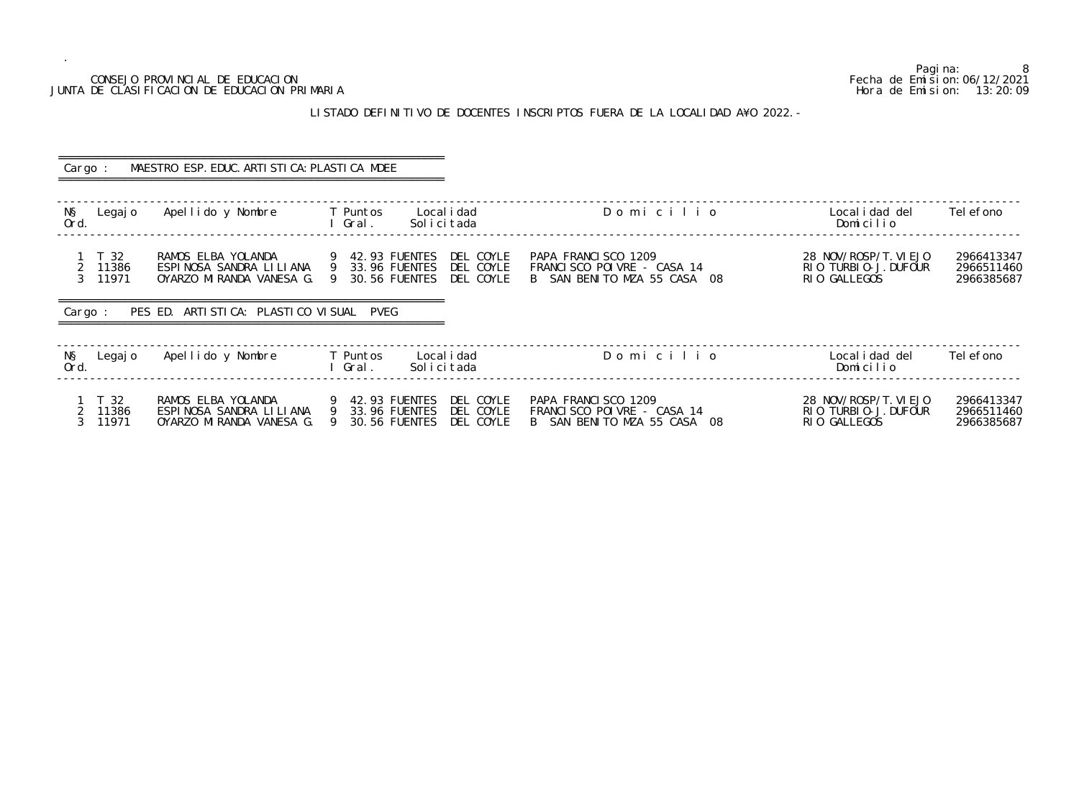# JUNTA DE CLASIFICACION DE EDUCACION PRIMARIA

.

### LISTADO DEFINITIVO DE DOCENTES INSCRIPTOS FUERA DE LA LOCALIDAD A¥O 2022.-

8<br>Fecha de Emision: 06/12/2021 CONSEJO PROVINCIAL DE EDUCACION Fecha de Emision:06/12/2021 o Localidad del Telefono<br>Domicilio ------------------------------------------------------------------------------------------------------------------------------------------------- 28 NOV/ROSP/T. VIEJO 2966413347<br>RIO TURBIO-J. DUFOUR 2966511460<br>RIO GALLEGOS 2966385687 2 11386 RIO TURBIO-J.DUFOUR<br>23.96 FUENTES RIO GALLE FRANCISCO POINT ------------------------------------------------------------------------------------------------------------------------------------------------- -------------------------------------------------------------------------------------------------------------------------------------------------

| Cargo :                                                      | MAESTRO ESP. EDUC. ARTI STI CA: PLASTI CA MDEE                            |                                                                                                  |                                                                                  |                                                               |                                        |
|--------------------------------------------------------------|---------------------------------------------------------------------------|--------------------------------------------------------------------------------------------------|----------------------------------------------------------------------------------|---------------------------------------------------------------|----------------------------------------|
| NŞ<br>Legaj o<br>Ord.                                        | Apellido y Nombre                                                         | Local i dad<br>T Puntos<br>Gral.<br>Solicitada                                                   | Domicilio                                                                        | Local i dad del<br>Domicilio                                  | Tel efono                              |
| 1 T 32<br>11386<br>$\overline{2}$<br>3 <sup>7</sup><br>11971 | RAMOS ELBA YOLANDA<br>ESPINOSA SANDRA LILIANA<br>OYARZO MIRANDA VANESA G. | DEL COYLE<br>9 42.93 FUENTES<br>9 33.96 FUENTES<br>DEL COYLE<br>9 30.56 FUENTES<br>DEL COYLE     | PAPA FRANCISCO 1209<br>FRANCISCO POIVRE - CASA 14<br>B SAN BENITO MZA 55 CASA 08 | 28 NOV/ROSP/T. VI EJO<br>RIO TURBIO-J. DUFOUR<br>RIO GALLEGOS | 2966413347<br>2966511460<br>2966385687 |
| Cargo:                                                       | PES ED. ARTISTICA: PLASTICO VISUAL PVEG                                   |                                                                                                  |                                                                                  |                                                               |                                        |
| NŞ<br>Legaj o<br>Ord.                                        | Apellido y Nombre                                                         | T Puntos<br>Local i dad<br>Solicitada<br>l Gral.                                                 | Domicilio                                                                        | Local i dad del<br>Domicilio                                  | Tel efono                              |
| T 32<br>11386<br>11971                                       | RAMOS ELBA YOLANDA<br>ESPINOSA SANDRA LILIANA<br>OYARZO MIRANDA VANESA G. | DEL COYLE<br>9 42.93 FUENTES<br>9 33.96 FUENTES<br>DEL COYLE<br>30.56 FUENTES<br>DEL COYLE<br>-9 | PAPA FRANCISCO 1209<br>FRANCISCO POIVRE - CASA 14<br>B SAN BENITO MZA 55 CASA 08 | 28 NOV/ROSP/T. VI EJO<br>RIO TURBIO-J. DUFOUR<br>RIO GALLEGOS | 2966413347<br>2966511460<br>2966385687 |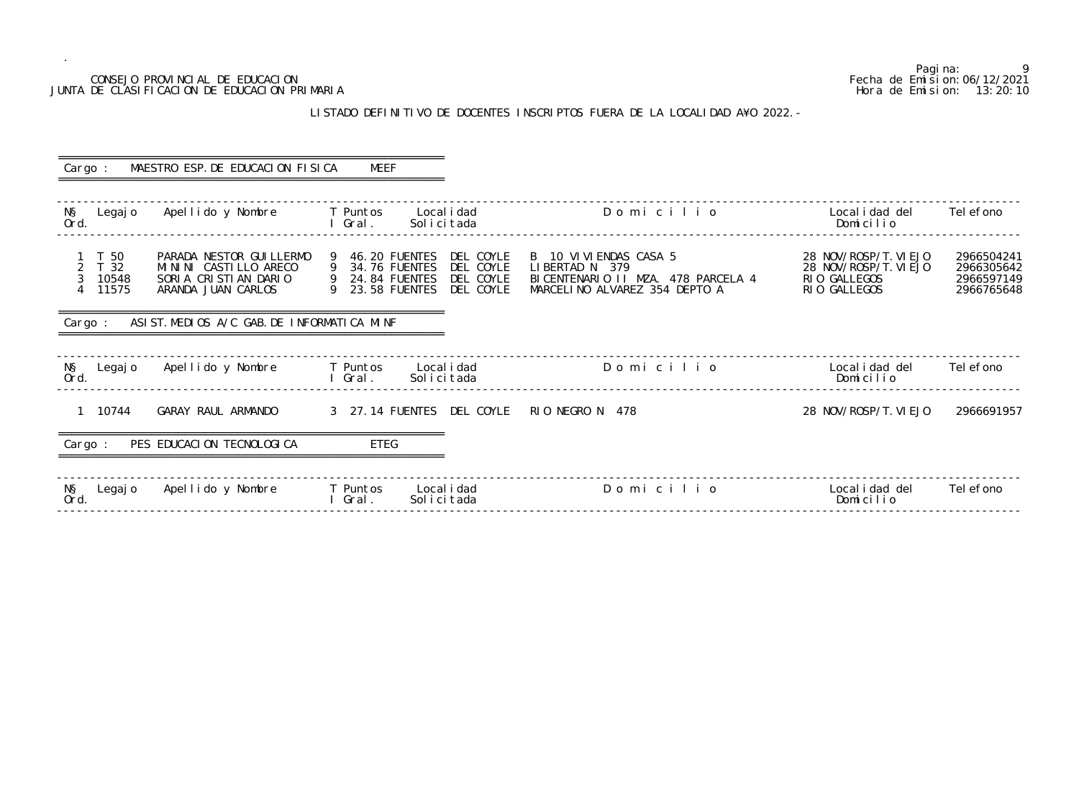# LISTADO DEFINITIVO DE DOCENTES INSCRIPTOS FUERA DE LA LOCALI

| CONSEJO PROVINCIAL DE EDUCACION<br>JUNTA DE CLASIFICACION DE EDUCACION PRIMARIA                                                               |                                                                                                                                           |                                                                                                                  | Pagi na:<br>Fecha de Emi si on: 06/12/2021                                     | 9<br>Hora de Emision: 13:20:10                       |
|-----------------------------------------------------------------------------------------------------------------------------------------------|-------------------------------------------------------------------------------------------------------------------------------------------|------------------------------------------------------------------------------------------------------------------|--------------------------------------------------------------------------------|------------------------------------------------------|
|                                                                                                                                               |                                                                                                                                           | LISTADO DEFINITIVO DE DOCENTES INSCRIPTOS FUERA DE LA LOCALIDAD A¥O 2022. -                                      |                                                                                |                                                      |
| MAESTRO ESP. DE EDUCACION FISICA<br>Cargo :                                                                                                   | <b>MEEF</b>                                                                                                                               |                                                                                                                  |                                                                                |                                                      |
| Apellido y Nombre<br>NŞ<br>Legaj o<br>Ord.                                                                                                    | Local i dad<br>T Puntos<br>Gral.<br>Solicitada                                                                                            | Domicilio                                                                                                        | Local i dad del<br>Domicilio                                                   | Tel efono                                            |
| T 50<br>PARADA NESTOR GUI LLERMO<br>2 T 32<br>MININI CASTILLO ARECO<br>SORIA CRISTIAN DARIO<br>3<br>10548<br>11575<br>4<br>ARANDA JUAN CARLOS | DEL COYLE<br>46.20 FUENTES<br>-9<br>34.76 FUENTES<br>DEL COYLE<br>9<br>24.84 FUENTES<br>DEL COYLE<br>9<br>23.58 FUENTES<br>DEL COYLE<br>9 | B 10 VI VI ENDAS CASA 5<br>LIBERTAD N 379<br>BICENTENARIO II MZA. 478 PARCELA 4<br>MARCELINO ALVAREZ 354 DEPTO A | 28 NOV/ROSP/T. VI EJO<br>28 NOV/ROSP/T. VI EJO<br>RIO GALLEGOS<br>RIO GALLEGOS | 2966504241<br>2966305642<br>2966597149<br>2966765648 |
| ASIST. MEDIOS A/C GAB. DE INFORMATICA MINF<br>Cargo :                                                                                         |                                                                                                                                           |                                                                                                                  |                                                                                |                                                      |
| NŞ<br>Apellido y Nombre<br>Legaj o<br>Ord.                                                                                                    | T Puntos<br>Local i dad<br>Gral.<br>Solicitada                                                                                            | Domicilio                                                                                                        | Local i dad del<br>Domicilio                                                   | Tel efono                                            |
| 10744<br>GARAY RAUL ARMANDO                                                                                                                   | 3 27.14 FUENTES DEL COYLE                                                                                                                 | RIO NEGRO N 478                                                                                                  | 28 NOV/ROSP/T. VI EJO                                                          | 2966691957                                           |
| PES EDUCACION TECNOLOGICA<br>Cargo :                                                                                                          | ETEG                                                                                                                                      |                                                                                                                  |                                                                                |                                                      |
| Apellido y Nombre<br>N§<br>Ord.<br>Legaj o                                                                                                    | T Puntos<br>Local i dad<br>Gral.<br>Solicitada                                                                                            | Domicilio                                                                                                        | Local i dad del<br>Domicilio                                                   | Tel efono                                            |

| Cargo :             |                                | MAESTRO ESP. DE EDUCACION FISICA                                                                | MEEF                                                                                        |                                                  |                                                                                                                  |                                                                                |                                                      |
|---------------------|--------------------------------|-------------------------------------------------------------------------------------------------|---------------------------------------------------------------------------------------------|--------------------------------------------------|------------------------------------------------------------------------------------------------------------------|--------------------------------------------------------------------------------|------------------------------------------------------|
| NŞ<br>Ord.          | Legaj o                        | Apellido y Nombre                                                                               | T Puntos<br>I Gral.                                                                         | Local i dad<br>Solicitada                        | Domicilio                                                                                                        | Local i dad del<br>Domicilio                                                   | Tel efono                                            |
| $\overline{2}$<br>3 | T 50<br>T 32<br>10548<br>11575 | PARADA NESTOR GUI LLERMO<br>MININI CASTILLO ARECO<br>SORIA CRISTIAN DARIO<br>ARANDA JUAN CARLOS | 9 46.20 FUENTES<br>9 34.76 FUENTES<br>9 24.84 FUENTES<br>9 23.58 FUENTES<br>9 23.58 FUENTES | DEL COYLE<br>DEL COYLE<br>DEL COYLE<br>DEL COYLE | B 10 VI VI ENDAS CASA 5<br>LIBERTAD N 379<br>BICENTENARIO II MZA. 478 PARCELA 4<br>MARCELINO ALVAREZ 354 DEPTO A | 28 NOV/ROSP/T. VI EJO<br>28 NOV/ROSP/T. VI EJO<br>RIO GALLEGOS<br>RIO GALLEGOS | 2966504241<br>2966305642<br>2966597149<br>2966765648 |
| Cargo:              |                                | ASIST. MEDIOS A/C GAB. DE INFORMATICA MINF                                                      |                                                                                             |                                                  |                                                                                                                  |                                                                                |                                                      |
| NŞ<br>Ord.          | Legaj o                        | Apellido y Nombre                                                                               | T Puntos<br>I Gral.                                                                         | Local i dad<br>Solicitada                        | Domicilio                                                                                                        | Local i dad del<br>Domicilio                                                   | Tel efono                                            |
|                     | 1 10744                        | GARAY RAUL ARMANDO                                                                              |                                                                                             | 3 27.14 FUENTES DEL COYLE                        | RIO NEGRO N 478                                                                                                  | 28 NOV/ROSP/T. VI EJO                                                          | 2966691957                                           |
| Cargo :             |                                | PES EDUCACION TECNOLOGICA                                                                       | <b>ETEG</b>                                                                                 |                                                  |                                                                                                                  |                                                                                |                                                      |
| NŞ<br>Ord.          | Legaj o                        | Apellido y Nombre                                                                               | T Puntos<br>I Gral.                                                                         | Local i dad<br>Solicitada                        | Domicilio                                                                                                        | Local i dad del<br>Domicilio                                                   | Tel efono                                            |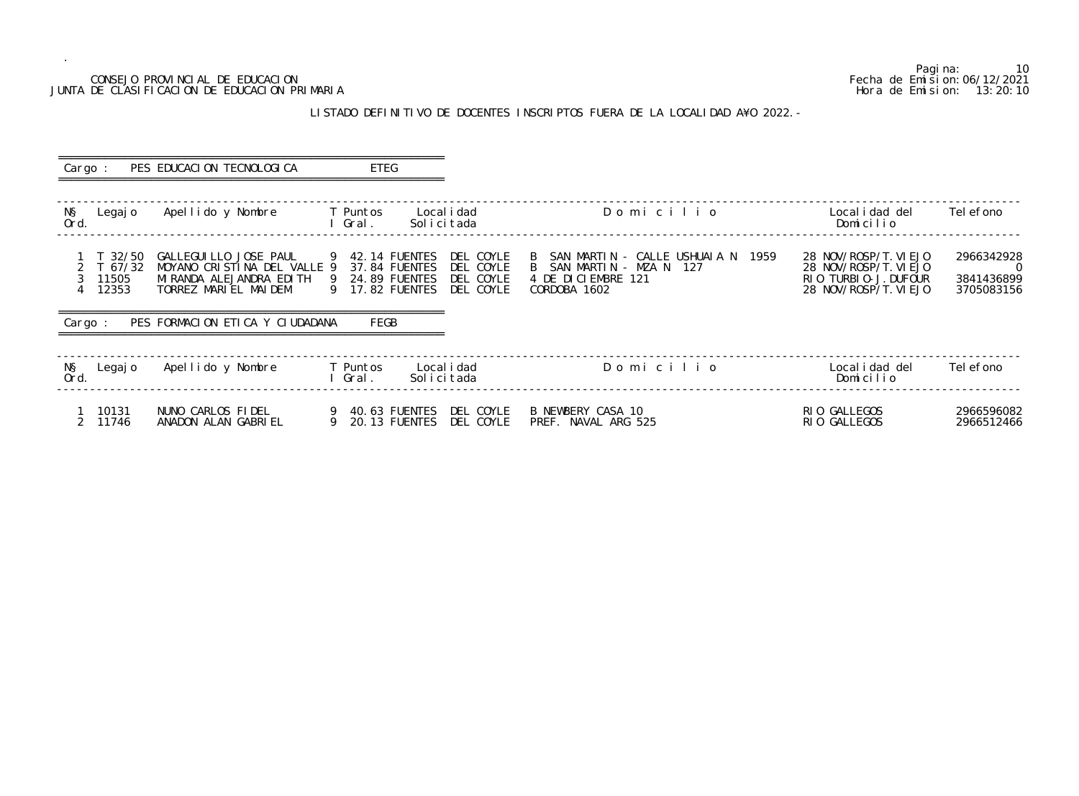### CONSEJO PROVINCIAL DE EDUCACION Fecha de Emision:06/12/2021 JUNTA DE CLASIFICACION DE EDUCACION PRIMARIA

### LISTADO DEFINITIVO DE DOCENTES INSCRIPTOS FUERA DE LA LOCALIDAD A¥O 2022.-

 ========================================================== Cargo : PES EDUCACION TECNOLOGICA ETEG ========================================================== ------------------------------------------------------------------------------------------------------------------------------------------------- N§ Legajo Apellido y Nombre T Puntos Localidad D o m i c i l i o Localidad del Telefono Ord. I Gral. Solicitada Dominical Dominical Dominical Dominical Dominical Dominical Dominical Dominical Dominical Dominical Dominical Dominical Dominical Dominical Dominical Dominical Dominical Dominical Dominical Dominica ------------------------------------------------------------------------------------------------------------------------------------------------- 1 T 32/50 GALLEGUILLO JOSE PAUL 9 42.14 FUENTES DEL COYLE B SAN MARTIN - CALLE USHUA 2 T 67/32 MOYANO CRISTINA DEL VALLE 9 37.84 FUENTES DEL COYLE B SAN MARTIN - MZA N 127 28 NOV/ROSP/T.VIEJO 0 3 11505 MIRANDA ALEJANDRA EDITH 9 24.89 FUENTES DEL COYLE 4 DE DICIEMBRE 121 RIO TURBIO-J.DUFOUR 3841436899 4 12353 TORREZ MARIEL MAIDEM 9 17.82 FUENTES DEL COYLE CORDOBA 1602 28 NOV/ROSP/T.VIEJO 3705083156 ========================================================== Cargo : PES FORMACION ETICA Y CIUDADANA FEGB ========================================================== ------------------------------------------------------------------------------------------------------------------------------------------------- N§ Legajo Apellido y Nombre T Puntos Localidad Domicili Ord. I Gral. Solicitada Domicilio ------------------------------------------------------------------------------------------------------------------------------------------------- 1 10131 NUNO CARLOS FIDEL 9 40.63 FUENTES DEL COYLE B NEWBERY CASA 10 RIO GALLEGOS 2966596082 2 11746 ANADON ALAN GABRIEL 9 20.13 FUENTES DEL COYLE PREF. NAVAL ARG 525 RIO GALLEGOS 2966512466

Pagina: 10<br>Fecha de Emision: 06/12/2021

| O   |      | Local i dad del<br>Domicilio                                                                    | Tel efono                                   |
|-----|------|-------------------------------------------------------------------------------------------------|---------------------------------------------|
| IAN | 1959 | 28 NOV/ROSP/T. VI EJO<br>28 NOV/ROSP/T. VI EJO<br>RIO TURBIO-J. DUFOUR<br>28 NOV/ROSP/T. VI EJO | 2966342928<br>O<br>3841436899<br>3705083156 |
| O   |      | Local i dad del<br>Domicilio                                                                    | Tel efono                                   |
|     |      | RIO GALLEGOS<br>חחחוווויה חוח                                                                   | 2966596082                                  |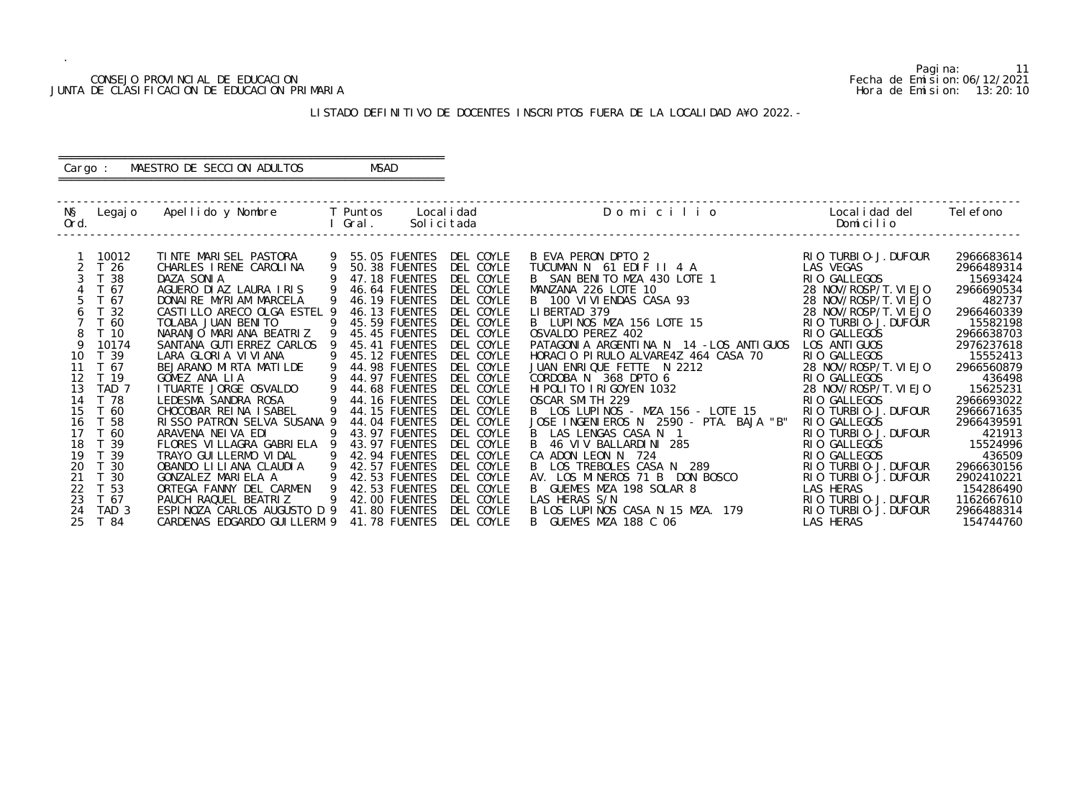# CONSEJO PROVINCIAL DE EDUCACION (CONSEJO PROVINCIAL DE EDUCACION FECHA DE EDUCACION FECHA DE EDUCACION PRIMARIA<br>DE CLASIFICACION DE EDUCACION PRIMARIA (CONSESSION PRIMARIA DE CLASIFICACION DE EDUCACION PRIMARIA DE CONSESSI JUNTA DE CLASIFICACION DE EDUCACION PRIMARIA

.

Pagina: 11

| Ö               | Localidad del<br>Domicilio                      | Tel efono               |
|-----------------|-------------------------------------------------|-------------------------|
|                 |                                                 |                         |
|                 | RIO TURBIO-J.DUFOUR                             | 2966683614              |
|                 | <b>LAS VEGAS</b><br>RIO GALLEGOS                | 2966489314<br>15693424  |
|                 | 28 NOV/ROSP/T. VIEJO                            | 2966690534              |
|                 | 28 NOV/ROSP/T. VI EJO                           | 482737                  |
|                 | NOV/ROSP/T. VI EJO<br>28                        | 2966460339              |
|                 | RIO TURBIO-J.DUFOUR                             | 15582198                |
|                 | <b>GALLEGOS</b><br>RI 0                         | 2966638703              |
| LOS ANTIGUOS    | LOS ANTI GUOS                                   | 2976237618              |
| CASA 70         | GALLEGOS<br>RI 0                                | 15552413                |
|                 | 28 NOV/ROSP/T.VIEJO                             | 2966560879              |
|                 | RIO GALLEGOS                                    | 436498                  |
|                 | 28 NOV/ROSP/T.VIEJO<br><b>GALLEGOS</b><br>RI 0. | 15625231<br>2966693022  |
| LOTE 15         | TURBIO-J. DUFOUR<br>RI 0                        | 2966671635              |
| TA. BAJA<br>"B" | <b>GALLEGOS</b><br>RI 0                         | 2966439591              |
|                 | TURBI 0-J. DUFOUR<br>RI 0                       | 421913                  |
|                 | RI 0<br><b>GALLEGOS</b>                         | 15524996                |
|                 | <b>GALLEGOS</b><br>RI 0                         | 436509                  |
|                 | TURBI 0-J. DUFOUR<br>RI 0                       | 2966630156              |
| 0SCO            | TURBI 0-J. DUFOUR<br>RI 0                       | 2902410221              |
|                 | LAS<br><b>HERAS</b>                             | 154286490               |
|                 | TURBI 0-J. DUFOUR<br>RI 0                       | 1162667610              |
| 179             | TURBI 0-J. DUFOUR<br>RI 0<br><b>LAS HERAS</b>   | 2966488314<br>154744760 |
|                 |                                                 |                         |

### LISTADO DEFINITIVO DE DOCENTES INSCRIPTOS FUERA DE LA LOCALIDAD A¥O 2022.-

 ------------------------------------------------------------------------------------------------------------------------------------------------- N§ Legajo Apellido y Nombre T Puntos Localidad Domicilion Ord. I Gral. Solicitada Domicilio ------------------------------------------------------------------------------------------------------------------------------------------------- 1 10012 TINTE MARISEL PASTORA 9 55.05 FUENTES DEL COYLE B EVA PERON DPTO 2<br>2 T 26 CHARLES IRENE CAROLINA 9 50.38 FUENTES DEL COYLE TUCUMAN N 61 EDIF II 4 A 2 T 26 CHARLES IRENE CAROLINA 9 50.38 FUENTES DEL COYLE TUCUMAN N 61 EDIF II 4 A<br>3 T 38 DAZA SONIA 9 47.18 FUENTES DEL COYLE B SAN BENITO MZA 430 LOTE 3 T 38 DAZA SONIA 9 47.18 FUENTES DEL COYLE B SAN BENITO MZA 430 LOTE 1 RIO GALLEGOS 15693424 4 T 67 AGUERO DIAZ LAURA IRIS 9 46.64 FUENTES DEL COYLE MANZANA 226 LOTE 10<br>5 T 67 DONAIRE MYRIAM MARCELA 9 46.19 FUENTES DEL COYLE B 100 VIVIENDAS CASA 93 5 T 67 DONAIRE MYRIAM MARCELA 9 46.19 FUENTES DEL COYLE B 100 VIVIEN<br>6 T 32 CASTILLO ARECO OLGA ESTEL 9 46.13 FUENTES DEL COYLE LIBERTAD 379 6 T 32 CASTILLO ARECO OLGA ESTEL 9 46.13 FUENTES DEL COYLE<br>7 T 60 TOLABA JUAN BENITO 3 45.59 FUENTES DEL COYLE 7 T 60 TOLABA JUAN BENITO 9 45.59 FUENTES DEL COYLE B LUPINOS MZA 156 LOTE 15 RIO TURBIO-J.DUFOUR 15582198 8 T 10 NARANJO MARIANA BEATRIZ 9 45.45 FUENTES DEL COYLE OSVALDO PEREZ 402<br>9 10174 SANTANA GUTIERREZ CARLOS 9 45.41 FUENTES DEL COYLE PATAGONIA ARGENTINA N 14 – 9 10174 SANTANA GUTIERREZ CARLOS 9 45.41 FUENTES DEL COYLE PATAGONIA ARGENTINA N 14 -I<br>10 T 39 LARA GLORIA VIVIANA 9 45.12 FUENTES DEL COYLE HORACIO PIRULO ALVARE4Z 464 10 T 39 LARA GLORIA VIVIANA 9 45.12 FUENTES DEL COYLE HORACIO PIRULO ALVARE4Z 464 CASA 70 RIO GALLEGOS 15552413 11 T 67 BEJARANO MIRTA MATILDE 9 44.98 FUENTES DEL COYLE JUAN ENRIQUE FETTE N 2212 28 NOV/ROSP/T.VIEJO 2966560879 12 T 19 GOMEZ ANA LIA 9 44.97 FUENTES DEL COYLE CORDOBA N 368 DPTO 6 RIO GALLEGOS 436498 13 TAD 7 ITUARTE JORGE OSVALDO 9 44.68 FUENTES DEL COYLE HIPOLITO IRIGOYEN 1032 28 NOV/ROSP/T.VIEJO 15625231 14 T 78 LEDESMA SANDRA ROSA 9 44.16 FUENTES DEL COYLE OSCAR SMITH 229 RIO GALLEGOS 2966693022 15 T 60 CHOCOBAR REINA ISABEL 9 44.15 FUENTES DEL COYLE B LOS LUPINOS - MZA 156 - LOTE 15 RIO TURBIO-J.DUFOUR 2966671635 16 T 58 RISSO PATRON SELVA SUSANA 9 44.04 FUENTES DEL COYLE JOSE INGENIEROS N 2590 - PTA. BAJA "B" RIO GALLEGOS 296 - P<br>17 T 60 ARAVENA NEIVA EDI 9 43.97 FUENTES DEL COYLE B LAS LENGAS CASA N 1 17 T 60 ARAVENA NEIVA EDI 9 43.97 FUENTES DEL COYLE B LAS LENGAS CASA N 1<br>18 T 39 FLORES VILLAGRA GABRIELA 9 43.97 FUENTES DEL COYLE B 46 VIV BALLARDINI 285 18 T 39 FLORES VILLAGRA GABRIELA 9 43.97 FUENTES DEL COYLE B 46 VIV BALLARDIN<br>19 T 39 FLORES VILLAGRA GABRIELA 9 43.97 FUENTES DEL COYLE CA ADON LEON N 724 19 T 39 TRAYO GUILLERMO VIDAL 9 42.94 FUENTES DEL COYLE CA ADON LEON N 724 RIO GALLEGOS 436509 20 T 30 OBANDO LILIANA CLAUDIA 9 42.57 FUENTES DEL COYLE B LOS TREBOLES CASA N 289 RIO TURBIO-J.DUFOUR 2966630156 21 T 30 GONZALEZ MARIELA A 9 42.53 FUENTES DEL COYLE AV. LOS MINEROS 71 B DON BOSCO RIO TURBIO-J.DUFOUR 2902410221 20 T 30 OBANDO LILIANA CLAUDIA 9 42.57 FUENTES DEL COYLE B LOS TREBOLES CASA N 289<br>21 T 30 GONZALEZ MARIELA A 9 42.53 FUENTES DEL COYLE AV. LOS MINEROS 71 B DON BON<br>22 T 53 ORTEGA FANNY DEL CARMEN 9 42.53 FUENTES DEL COYLE 23 T 67 PAUCH RAQUEL BEATRIZ 9 42.00 FUENTES DEL COYLE LAS HERAS S/N<br>24 TAD 3 ESPINOZA CARLOS AUGUSTO D 9 41.80 FUENTES DEL COYLE B LOS LUPINOS CASA N 15 MZA. 24 TAD 3 ESPINOZA CARLOS AUGUSTO D 9 41.80 FUENTES DEL COYLE 25 T 84 CARDENAS EDGARDO GUILLERM 9 41.78 FUENTES DEL COYLE CARDENAS EDGARDO GUILLERM 9 41.78 FUENTES DEL COYLE B GUEMES MZA 188 C 06

### ========================================================== Cargo : MAESTRO DE SECCION ADULTOS ==========================================================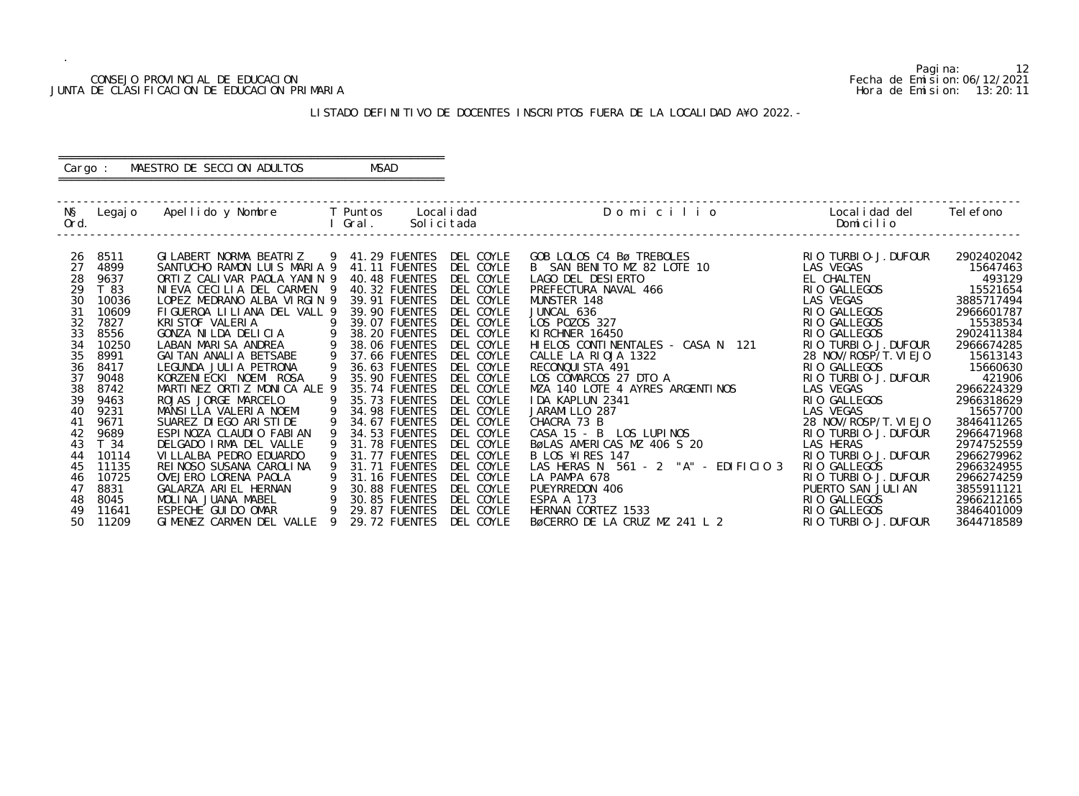# CONSEJO PROVINCIAL DE EDUCACION Fecha de Emision:06/12/2021 JUNTA DE CLASIFICACION DE EDUCACION PRIMARIA

Pagina: 12

| O                     | Localidad del Telefono<br>Domicilio   |                    |  |
|-----------------------|---------------------------------------|--------------------|--|
|                       |                                       |                    |  |
|                       | RIO TURBIO-J. DUFOUR<br>LAS VEGAS     | 2902402042         |  |
|                       | EL CHALTEN                            | 15647463<br>493129 |  |
|                       | GALLEGOS<br>RI 0                      | 15521654           |  |
|                       | <b>VEGAS</b><br>LAS.                  | 3885717494         |  |
|                       | GALLEGOS<br>RI 0                      | 2966601787         |  |
|                       | <b>GALLEGOS</b><br>RI 0               | 15538534           |  |
|                       | RIO GALLEGOS                          | 2902411384         |  |
| N<br>121              | TURBI 0-J. DUFOUR<br>RI 0             | 2966674285         |  |
|                       | 28 NOV/ROSP/T. VI EJO                 | 15613143           |  |
|                       | <b>GALLEGOS</b><br>RI 0               | 15660630           |  |
|                       | RIO TURBIO-J. DUFOUR                  | 421906             |  |
| I NOS                 | LAS VEGAS                             | 2966224329         |  |
|                       | <b>GALLEGOS</b><br>RI 0               | 2966318629         |  |
|                       | <b>LAS VEGAS</b>                      | 15657700           |  |
|                       | 28 NOV/ROSP/T. VI EJO                 | 3846411265         |  |
|                       | TURBI 0-J. DUFOUR<br>RI 0             | 2966471968         |  |
|                       | LAS HERAS                             | 2974752559         |  |
|                       | TURBI 0-J. DUFOUR<br>R <sub>I</sub> O | 2966279962         |  |
| EDIFICIO <sub>3</sub> | GALLEGOS<br>RI 0                      | 2966324955         |  |
|                       | TURBI 0-J. DUFOUR<br>RI 0             | 2966274259         |  |
|                       | PUERTO SAN JULIAN                     | 3855911121         |  |
|                       | <b>GALLEGOS</b><br>RI 0               | 2966212165         |  |
|                       | GALLEGOS<br>RI 0                      | 3846401009         |  |
| 2                     | TURBI 0-J. DUFOUR<br>RI 0             | 3644718589         |  |

### LISTADO DEFINITIVO DE DOCENTES INSCRIPTOS FUERA DE LA LOCALIDAD A¥O 2022.-

 ------------------------------------------------------------------------------------------------------------------------------------------------- N§ Legajo Apellido y Nombre T Puntos Localidad Domicilic Ord. I Gral. Solicitada Domicilio ------------------------------------------------------------------------------------------------------------------------------------------------- 26 8511 GILABERT NORMA BEATRIZ 9 41.29 FUENTES DEL COYLE GOB LOLOS C4 Bø TREBOLES RIO TURBIO-J.DUFOUR 2902402042 27 4899 SANTUCHO RAMON LUIS MARIA 9 41.11 FUENTES DEL COYLE B SAN BENITO MZ 82 LOTE 10 LAS VEGAS 15647463 28 9637 ORTIZ CALIVAR PAOLA YANIN 9 40.48 FUENTES DEL COYLE LAGO DEL DESIERTO EL CHALTEN 493129 29 T 83 NIEVA CECILIA DEL CARMEN 9 40.32 FUENTES DEL COYLE PREFECTURA NAVAL 466 RIO GALLEGOS 15521654 30 10036 LOPEZ MEDRANO ALBA VIRGIN 9 39.91 FUENTES DEL COYLE MUNSTER 148<br>31 10609 FIGUEROA LILIANA DEL VALL 9 39.90 FUENTES DEL COYLE JUNCAL 636 31 10609 FIGUEROA LILIANA DEL VALL 9 39.90 FUENTES DEL COYLE JUNCAL 636<br>32 7827 KRISTOF VALERIA 9 39.07 FUENTES DEL COYLE LOS POZOS 327 32 7827 KRISTOF VALERIA 9 39.07 FUENTES DEL COYLE LOS POZOS 327 RIO GALLEGOS 15538534 33 8556 GONZA NILDA DELICIA 9 38.20 FUENTES DEL COYLE KIRCHNER 16450 RIO GALLEGOS 2902411384 34 10250 LABAN MARISA ANDREA 9 38.06 FUENTES DEL COYLE HIELOS CONTINENTALES - CASA N 121 RIO TURBIO-J.DUFOUR 2966674285 35 8991 GAITAN ANALIA BETSABE 9 37.66 FUENTES DEL COYLE CALLE LA RIOJA 1322 28 NOV/ROSP/T.VIEJO 15613143 36 8417 LEGUNDA JULIA PETRONA 9 36.63 FUENTES DEL COYLE RECONQUISTA 491 RIO GALLEGOS RIO GALLEGOS 15660630 37 9048 KORZENIECKI NOEMI ROSA 9 35.90 FUENTES DEL COYLE LOS COMARCOS 27 DTO A RIO TURBIO-J.DUFOUR 421906 38 8742 MARTINEZ ORTIZ MONICA ALE 9 35.74 FUENTES DEL COYLE MZA 140 LOTE 4 AYRES ARGENT<br>39 9463 ROJAS JORGE MARCELO 9 35.73 FUENTES DEL COYLE IDA KAPLUN 2341 39 9463 ROJAS JORGE MARCELO 9 35.73 FUENTES DEL COYLE IDA KAPLUN 2341 RIO GALLEGOS 2966318629 40 9231 MANSILLA VALERIA NOEMI 9 34.98 FUENTES DEL COYLE JARAMILLO 287 LAS VEGAS 15657700 41 9671 SUAREZ DIEGO ARISTIDE 9 34.67 FUENTES DEL COYLE CHACRA 73 B<br>42 9689 ESPINOZA CLAUDIO FABIAN 9 34.53 FUENTES DEL COYLE CASA 15 - B 42 9689 ESPINOZA CLAUDIO FABIAN 9 34.53 FUENTES DEL COYLE<br>43 T 34 DELGADO IRMA DEL VALLE 9 31.78 FUENTES DEL COYLE 42 9689 ESPINOZA CLAUDIO FABIAN 9 34.53 FUENTES DEL COYLE CASA 15 - B LOS LUPINOS<br>43 T 34 DELGADO IRMA DEL VALLE 9 31.78 FUENTES DEL COYLE BøLAS AMERICAS MZ 406 S 20<br>44 10114 VILLALBA PEDRO EDUARDO 9 31.77 FUENTES DEL COYL 44 10114 VILLALBA PEDRO EDUARDO 9 31.77 FUENTES DEL COYLE B LOS ¥IRES 147 RIO TURBIO-J.DUFOUR 2966279962 45 11135 REINOSO SUSANA CAROLINA 9 31.71 FUENTES DEL COYLE LAS HERAS N 561 - 2 "A" - EDIFICIO 3 RIO GALLEGOS 2966324955 46 10725  OVEJERO LORENA PAOLA 9 31.16 FUENTES DEL COYLE LA PAMPA 678  RIO TURBIO-J.DUFOUR 2966274259 47 8831 GALARZA ARIEL HERNAN 9 30.88 FUENTES DEL COYLE PUEYRREDON 406 PUERTO SAN JULIAN 3855911121 48 8045 MOLINA JUANA MABEL 9 30.85 FUENTES DEL COYLE ESPA A 173 RIO GALLEGOS 2966212165 49 11641 ESPECHE GUIDO OMAR 9 29.87 FUENTES DEL COYLE HERNAN CORTEZ 1533 RIO GALLEGOS 3846401009 50 11209 GIMENEZ CARMEN DEL VALLE 9 29.72 FUENTES DEL COYLE BØCERRO DE LA CRUZ MZ 241 L

### ========================================================== Cargo : MAESTRO DE SECCION ADULTOS MSAD ==========================================================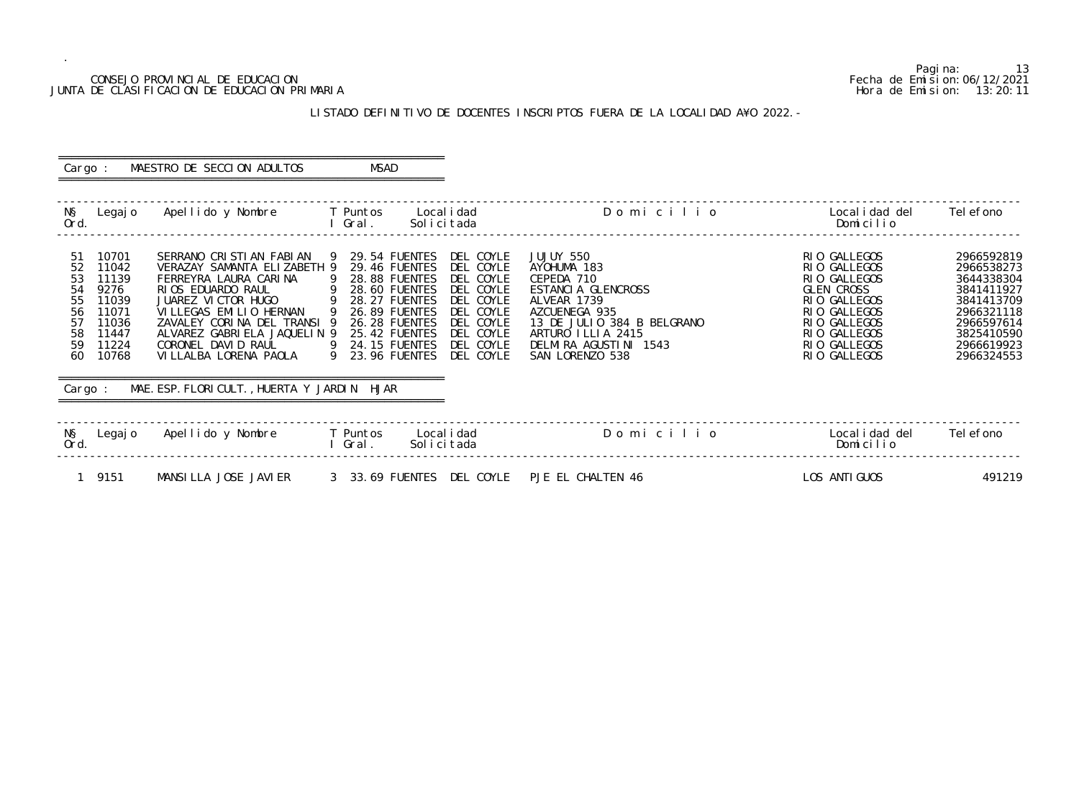### CONSEJO PROVINCIAL DE EDUCACION Fecha de Emision:06/12/2021 JUNTA DE CLASIFICACION DE EDUCACION PRIMARIA Hora de Emision: 13:20:11

# LISTADO DEFINITIVO DE DOCENTES INSCRIPTOS FUERA DE LA LOCALIDAD A¥O 2022.-

| Cargo :                                                                                                                                                      | MAESTRO DE SECCION ADULTOS                                                                                                                                                                                                                                                                                       | MSAD                                                                                                                                                                                                                                                                                                                                       |                                                                                                                                                                                             |                                                                                                                                                                   |                                                                                                                                          |
|--------------------------------------------------------------------------------------------------------------------------------------------------------------|------------------------------------------------------------------------------------------------------------------------------------------------------------------------------------------------------------------------------------------------------------------------------------------------------------------|--------------------------------------------------------------------------------------------------------------------------------------------------------------------------------------------------------------------------------------------------------------------------------------------------------------------------------------------|---------------------------------------------------------------------------------------------------------------------------------------------------------------------------------------------|-------------------------------------------------------------------------------------------------------------------------------------------------------------------|------------------------------------------------------------------------------------------------------------------------------------------|
| NŞ<br>Legaj o<br>Ord.                                                                                                                                        | Apellido y Nombre                                                                                                                                                                                                                                                                                                | T Puntos<br>Local i dad<br>Gral.<br>Solicitada                                                                                                                                                                                                                                                                                             | Domicilio                                                                                                                                                                                   | Local i dad del<br>Domicilio                                                                                                                                      | Tel efono                                                                                                                                |
| 10701<br>51<br>52<br>11042<br>53<br>11139<br>54<br>9276<br>55<br>11039<br>56<br>11071<br>57<br>11036<br>58<br>11447<br>59<br>11224<br>60<br>10768<br>Cargo : | SERRANO CRISTIAN FABIAN<br>VERAZAY SAMANTA ELIZABETH 9<br>FERREYRA LAURA CARINA<br>RIOS EDUARDO RAUL<br>JUAREZ VICTOR HUGO<br>VILLEGAS EMILIO HERNAN<br>ZAVALEY CORINA DEL TRANSI 9<br>ALVAREZ GABRIELA JAQUELIN 9<br>CORONEL DAVID RAUL<br>VI LLALBA LORENA PAOLA<br>MAE. ESP. FLORICULT., HUERTA Y JARDIN HJAR | 9 29.54 FUENTES<br>DEL COYLE<br>29.46 FUENTES<br>DEL COYLE<br>28.88 FUENTES DEL COYLE<br>- 9<br>$\overline{9}$<br>DEL COYLE<br>28.60 FUENTES<br>9 28.27 FUENTES DEL COYLE<br>9 26.89 FUENTES<br>DEL COYLE<br>DEL COYLE<br>26.28 FUENTES<br>25.42 FUENTES<br>DEL COYLE<br>24.15 FUENTES<br>DEL COYLE<br>- 9<br>9 23.96 FUENTES<br>DEL COYLE | JUJUY 550<br>AYOHUMA 183<br>CEPEDA 710<br>ESTANCIA GLENCROSS<br>ALVEAR 1739<br>AZCUENEGA 935<br>13 DE JULIO 384 B BELGRANO<br>ARTURO ILLIA 2415<br>DELMIRA AGUSTINI 1543<br>SAN LORENZO 538 | RIO GALLEGOS<br>RIO GALLEGOS<br>RIO GALLEGOS<br><b>GLEN CROSS</b><br>RIO GALLEGOS<br>RIO GALLEGOS<br>RIO GALLEGOS<br>RIO GALLEGOS<br>RIO GALLEGOS<br>RIO GALLEGOS | 2966592819<br>2966538273<br>3644338304<br>3841411927<br>3841413709<br>2966321118<br>2966597614<br>3825410590<br>2966619923<br>2966324553 |
| NŞ<br>Legaj o<br>Ord.                                                                                                                                        | Apellido y Nombre                                                                                                                                                                                                                                                                                                | <b>Example T</b> Puntos<br>Local i dad<br>l Gral.<br>Solicitada                                                                                                                                                                                                                                                                            | Domicilio                                                                                                                                                                                   | Local i dad del<br>Domicilio                                                                                                                                      | Tel efono                                                                                                                                |
| 1 9151                                                                                                                                                       | MANSILLA JOSE JAVIER                                                                                                                                                                                                                                                                                             | 3 33.69 FUENTES DEL COYLE PJE EL CHALTEN 46                                                                                                                                                                                                                                                                                                |                                                                                                                                                                                             | LOS ANTI GUOS                                                                                                                                                     | 491219                                                                                                                                   |

Pagina: 13<br>Fecha de Emision: 06/12/2021<br>Hora de Emision: 13: 20: 11